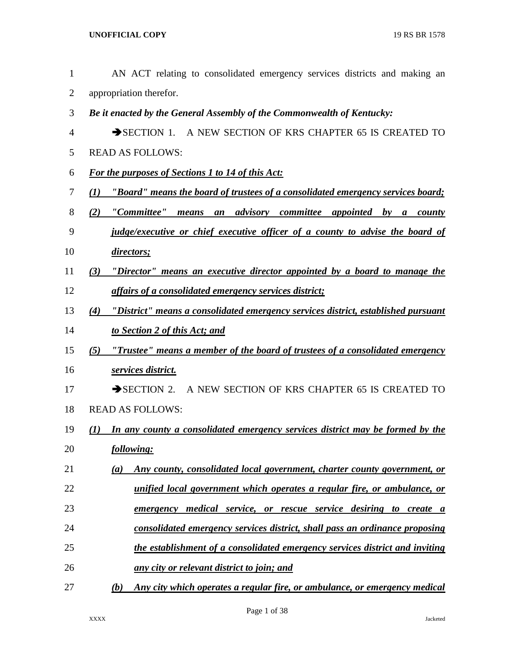| $\mathbf{1}$   | AN ACT relating to consolidated emergency services districts and making an                                       |
|----------------|------------------------------------------------------------------------------------------------------------------|
| $\overline{2}$ | appropriation therefor.                                                                                          |
| 3              | Be it enacted by the General Assembly of the Commonwealth of Kentucky:                                           |
| 4              | SECTION 1. A NEW SECTION OF KRS CHAPTER 65 IS CREATED TO                                                         |
| 5              | <b>READ AS FOLLOWS:</b>                                                                                          |
| 6              | <b>For the purposes of Sections 1 to 14 of this Act:</b>                                                         |
| 7              | <u>"Board" means the board of trustees of a consolidated emergency services board;</u><br>(1)                    |
| 8              | "Committee"<br>an advisory committee appointed<br>(2)<br>means<br>$\boldsymbol{b}$<br>$\boldsymbol{a}$<br>county |
| 9              | <i>judge/executive or chief executive officer of a county to advise the board of</i>                             |
| 10             | <i>directors;</i>                                                                                                |
| 11             | "Director" means an executive director appointed by a board to manage the<br>(3)                                 |
| 12             | <u>affairs of a consolidated emergency services district;</u>                                                    |
| 13             | "District" means a consolidated emergency services district, established pursuant<br>(4)                         |
| 14             | to Section 2 of this Act; and                                                                                    |
| 15             | <u>"Trustee" means a member of the board of trustees of a consolidated emergency</u><br>(5)                      |
| 16             | <u>services district.</u>                                                                                        |
| 17             | SECTION 2. A NEW SECTION OF KRS CHAPTER 65 IS CREATED TO                                                         |
| 18             | <b>READ AS FOLLOWS:</b>                                                                                          |
| 19             | In any county a consolidated emergency services district may be formed by the<br>(I)                             |
| 20             | following:                                                                                                       |
| 21             | Any county, consolidated local government, charter county government, or<br>(a)                                  |
| 22             | unified local government which operates a regular fire, or ambulance, or                                         |
| 23             | <u>medical service, or rescue service desiring to create a</u><br>emergency                                      |
| 24             | consolidated emergency services district, shall pass an ordinance proposing                                      |
| 25             | the establishment of a consolidated emergency services district and inviting                                     |
| 26             | any city or relevant district to join; and                                                                       |
| 27             | (b)<br>Any city which operates a regular fire, or ambulance, or emergency medical                                |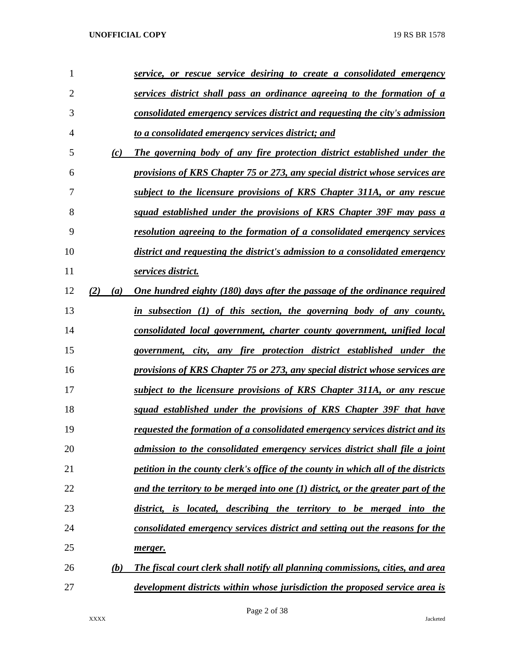| 1              |            | <u>service, or rescue service desiring to create a consolidated emergency</u>        |
|----------------|------------|--------------------------------------------------------------------------------------|
| $\overline{2}$ |            | services district shall pass an ordinance agreeing to the formation of a             |
| 3              |            | consolidated emergency services district and requesting the city's admission         |
| 4              |            | to a consolidated emergency services district; and                                   |
| 5              | (c)        | The governing body of any fire protection district established under the             |
| 6              |            | provisions of KRS Chapter 75 or 273, any special district whose services are         |
| 7              |            | subject to the licensure provisions of KRS Chapter 311A, or any rescue               |
| 8              |            | squad established under the provisions of KRS Chapter 39F may pass a                 |
| 9              |            | <u>resolution agreeing to the formation of a consolidated emergency services</u>     |
| 10             |            | district and requesting the district's admission to a consolidated emergency         |
| 11             |            | services district.                                                                   |
| 12             | (2)<br>(a) | One hundred eighty (180) days after the passage of the ordinance required            |
| 13             |            | in subsection (1) of this section, the governing body of any county,                 |
| 14             |            | consolidated local government, charter county government, unified local              |
| 15             |            | government, city, any fire protection district established under the                 |
| 16             |            | provisions of KRS Chapter 75 or 273, any special district whose services are         |
| 17             |            | subject to the licensure provisions of KRS Chapter 311A, or any rescue               |
| 18             |            | squad established under the provisions of KRS Chapter 39F that have                  |
| 19             |            | <u>requested the formation of a consolidated emergency services district and its</u> |
| 20             |            | admission to the consolidated emergency services district shall file a joint         |
| 21             |            | petition in the county clerk's office of the county in which all of the districts    |
| 22             |            | and the territory to be merged into one (1) district, or the greater part of the     |
| 23             |            | district, is located, describing the territory to be merged into the                 |
| 24             |            | consolidated emergency services district and setting out the reasons for the         |
| 25             |            | merger.                                                                              |
| 26             | <u>(b)</u> | The fiscal court clerk shall notify all planning commissions, cities, and area       |
| 27             |            | development districts within whose jurisdiction the proposed service area is         |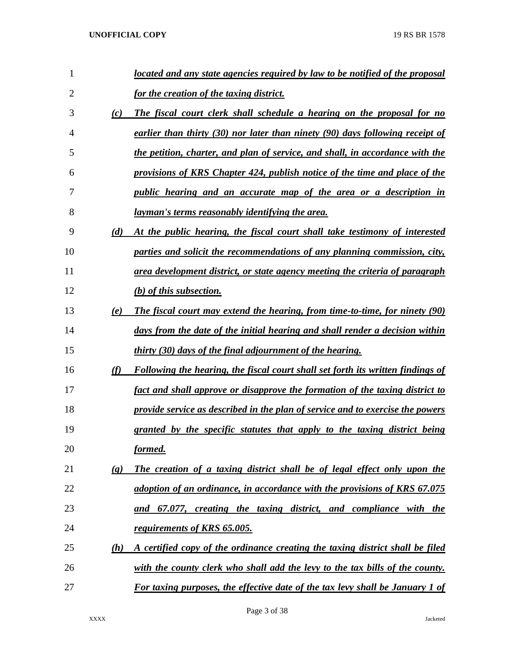| 1              |                             | located and any state agencies required by law to be notified of the proposal        |
|----------------|-----------------------------|--------------------------------------------------------------------------------------|
| $\overline{2}$ |                             | <u>for the creation of the taxing district.</u>                                      |
| 3              | (c)                         | The fiscal court clerk shall schedule a hearing on the proposal for no               |
| 4              |                             | earlier than thirty $(30)$ nor later than ninety $(90)$ days following receipt of    |
| 5              |                             | the petition, charter, and plan of service, and shall, in accordance with the        |
| 6              |                             | provisions of KRS Chapter 424, publish notice of the time and place of the           |
| 7              |                             | <i>public hearing and an accurate map of the area or a description in</i>            |
| 8              |                             | <u>layman's terms reasonably identifying the area.</u>                               |
| 9              | (d)                         | At the public hearing, the fiscal court shall take testimony of interested           |
| 10             |                             | parties and solicit the recommendations of any planning commission, city,            |
| 11             |                             | area development district, or state agency meeting the criteria of paragraph         |
| 12             |                             | $(b)$ of this subsection.                                                            |
| 13             | (e)                         | The fiscal court may extend the hearing, from time-to-time, for ninety (90)          |
| 14             |                             | days from the date of the initial hearing and shall render a decision within         |
| 15             |                             | <i>thirty (30) days of the final adjournment of the hearing.</i>                     |
| 16             | (f)                         | Following the hearing, the fiscal court shall set forth its written findings of      |
| 17             |                             | fact and shall approve or disapprove the formation of the taxing district to         |
| 18             |                             | provide service as described in the plan of service and to exercise the powers       |
| 19             |                             | granted by the specific statutes that apply to the taxing district being             |
| 20             |                             | formed.                                                                              |
| 21             | $\left( \mathbf{g} \right)$ | The creation of a taxing district shall be of legal effect only upon the             |
| 22             |                             | adoption of an ordinance, in accordance with the provisions of KRS 67.075            |
| 23             |                             | and 67.077, creating the taxing district, and compliance with the                    |
| 24             |                             | requirements of KRS 65.005.                                                          |
| 25             | (h)                         | A certified copy of the ordinance creating the taxing district shall be filed        |
| 26             |                             | with the county clerk who shall add the levy to the tax bills of the county.         |
| 27             |                             | <b>For taxing purposes, the effective date of the tax levy shall be January 1 of</b> |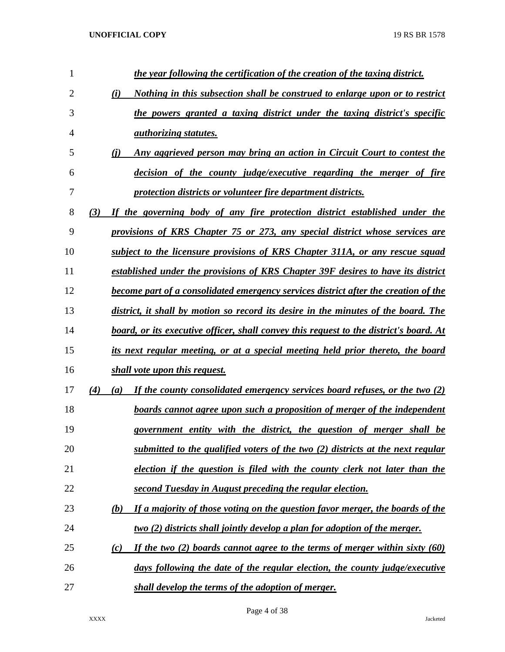| $\mathbf{1}$   | the year following the certification of the creation of the taxing district.                            |
|----------------|---------------------------------------------------------------------------------------------------------|
| $\overline{2}$ | Nothing in this subsection shall be construed to enlarge upon or to restrict<br>(i)                     |
| 3              | the powers granted a taxing district under the taxing district's specific                               |
| 4              | <i>authorizing statutes.</i>                                                                            |
| 5              | Any aggrieved person may bring an action in Circuit Court to contest the<br>(i)                         |
| 6              | decision of the county judge/executive regarding the merger of fire                                     |
| 7              | protection districts or volunteer fire department districts.                                            |
| 8              | If the governing body of any fire protection district established under the<br>(3)                      |
| 9              | provisions of KRS Chapter 75 or 273, any special district whose services are                            |
| 10             | subject to the licensure provisions of KRS Chapter 311A, or any rescue squad                            |
| 11             | established under the provisions of KRS Chapter 39F desires to have its district                        |
| 12             | become part of a consolidated emergency services district after the creation of the                     |
| 13             | district, it shall by motion so record its desire in the minutes of the board. The                      |
| 14             | board, or its executive officer, shall convey this request to the district's board. At                  |
| 15             | its next regular meeting, or at a special meeting held prior thereto, the board                         |
| 16             | shall vote upon this request.                                                                           |
| 17             | (4)<br>If the county consolidated emergency services board refuses, or the two (2)<br>$\left( a\right)$ |
| 18             | boards cannot agree upon such a proposition of merger of the independent                                |
| 19             | government entity with the district, the question of merger shall be                                    |
| 20             | submitted to the qualified voters of the two (2) districts at the next regular                          |
| 21             | election if the question is filed with the county clerk not later than the                              |
| 22             | second Tuesday in August preceding the regular election.                                                |
| 23             | If a majority of those voting on the question favor merger, the boards of the<br>(b)                    |
| 24             | two (2) districts shall jointly develop a plan for adoption of the merger.                              |
| 25             | If the two $(2)$ boards cannot agree to the terms of merger within sixty (60)<br>(c)                    |
| 26             | days following the date of the regular election, the county judge/executive                             |
| 27             | shall develop the terms of the adoption of merger.                                                      |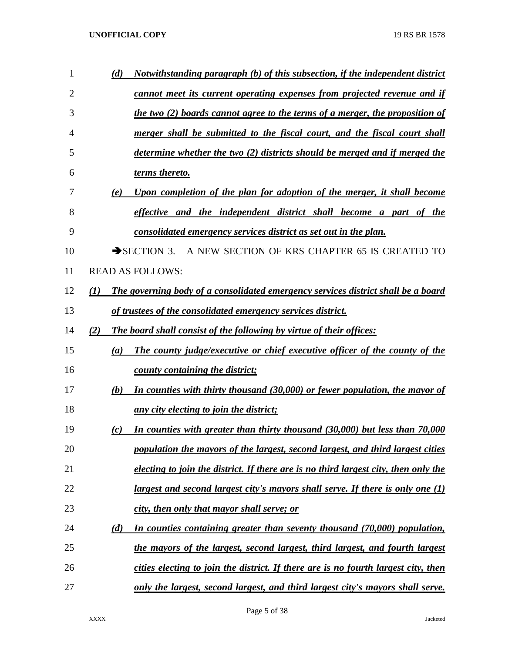| 1  | (d)              | Notwithstanding paragraph (b) of this subsection, if the independent district         |
|----|------------------|---------------------------------------------------------------------------------------|
| 2  |                  | cannot meet its current operating expenses from projected revenue and if              |
| 3  |                  | the two (2) boards cannot agree to the terms of a merger, the proposition of          |
| 4  |                  | merger shall be submitted to the fiscal court, and the fiscal court shall             |
| 5  |                  | determine whether the two (2) districts should be merged and if merged the            |
| 6  |                  | terms thereto.                                                                        |
| 7  | (e)              | Upon completion of the plan for adoption of the merger, it shall become               |
| 8  |                  | effective and the independent district shall become a part of the                     |
| 9  |                  | consolidated emergency services district as set out in the plan.                      |
| 10 |                  | A NEW SECTION OF KRS CHAPTER 65 IS CREATED TO<br>$\rightarrow$ SECTION 3.             |
| 11 |                  | <b>READ AS FOLLOWS:</b>                                                               |
| 12 | $\mathcal{L}(I)$ | The governing body of a consolidated emergency services district shall be a board     |
| 13 |                  | of trustees of the consolidated emergency services district.                          |
| 14 | (2)              | The board shall consist of the following by virtue of their offices:                  |
| 15 | (a)              | The county judge/executive or chief executive officer of the county of the            |
| 16 |                  | county containing the district;                                                       |
| 17 | (b)              | In counties with thirty thousand (30,000) or fewer population, the mayor of           |
| 18 |                  | any city electing to join the district;                                               |
| 19 | (c)              | In counties with greater than thirty thousand (30,000) but less than 70,000           |
| 20 |                  | population the mayors of the largest, second largest, and third largest cities        |
| 21 |                  | electing to join the district. If there are is no third largest city, then only the   |
| 22 |                  | <u>largest and second largest city's mayors shall serve. If there is only one (1)</u> |
| 23 |                  | city, then only that mayor shall serve; or                                            |
| 24 | (d)              | In counties containing greater than seventy thousand (70,000) population,             |
| 25 |                  | the mayors of the largest, second largest, third largest, and fourth largest          |
| 26 |                  | cities electing to join the district. If there are is no fourth largest city, then    |
| 27 |                  | only the largest, second largest, and third largest city's mayors shall serve.        |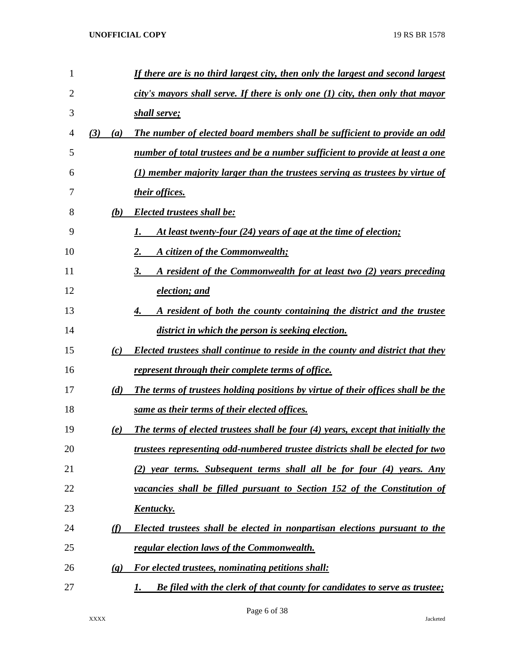| 1  |                             | If there are is no third largest city, then only the largest and second largest         |
|----|-----------------------------|-----------------------------------------------------------------------------------------|
| 2  |                             | city's mayors shall serve. If there is only one $(1)$ city, then only that mayor        |
| 3  |                             | shall serve;                                                                            |
| 4  | (3)<br>(a)                  | The number of elected board members shall be sufficient to provide an odd               |
| 5  |                             | number of total trustees and be a number sufficient to provide at least a one           |
| 6  |                             | $(1)$ member majority larger than the trustees serving as trustees by virtue of         |
| 7  |                             | their offices.                                                                          |
| 8  | (b)                         | <b>Elected trustees shall be:</b>                                                       |
| 9  |                             | At least twenty-four (24) years of age at the time of election;<br>1.                   |
| 10 |                             | 2.<br>A citizen of the Commonwealth;                                                    |
| 11 |                             | A resident of the Commonwealth for at least two (2) years preceding<br>3.               |
| 12 |                             | election; and                                                                           |
| 13 |                             | A resident of both the county containing the district and the trustee<br>4.             |
| 14 |                             | district in which the person is seeking election.                                       |
| 15 | (c)                         | Elected trustees shall continue to reside in the county and district that they          |
| 16 |                             | <u>represent through their complete terms of office.</u>                                |
| 17 | (d)                         | The terms of trustees holding positions by virtue of their offices shall be the         |
| 18 |                             | same as their terms of their elected offices.                                           |
| 19 | (e)                         | The terms of elected trustees shall be four (4) years, except that initially the        |
| 20 |                             | trustees representing odd-numbered trustee districts shall be elected for two           |
| 21 |                             | (2) year terms. Subsequent terms shall all be for four (4) years. Any                   |
| 22 |                             | vacancies shall be filled pursuant to Section 152 of the Constitution of                |
| 23 |                             | <u>Kentucky.</u>                                                                        |
| 24 | (f)                         | <b>Elected trustees shall be elected in nonpartisan elections pursuant to the</b>       |
| 25 |                             | <u>regular election laws of the Commonwealth.</u>                                       |
| 26 | $\left( \mathbf{g} \right)$ | For elected trustees, nominating petitions shall:                                       |
| 27 |                             | <b>Be filed with the clerk of that county for candidates to serve as trustee;</b><br>1. |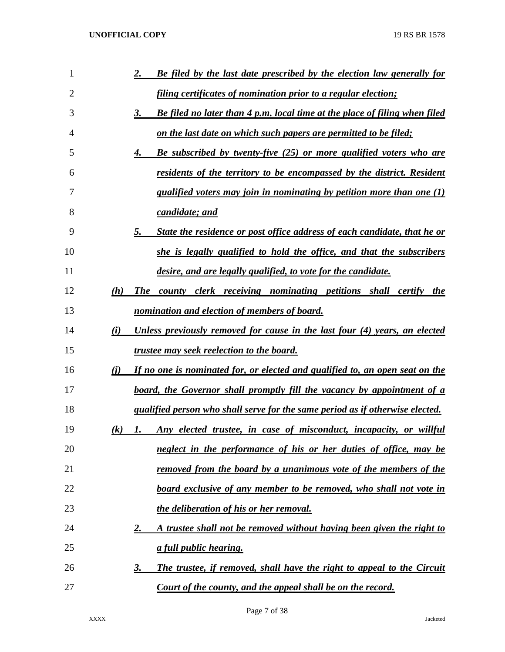| 1              |                   | Be filed by the last date prescribed by the election law generally for<br>2.        |
|----------------|-------------------|-------------------------------------------------------------------------------------|
| $\overline{2}$ |                   | filing certificates of nomination prior to a regular election;                      |
| 3              |                   | 3.<br>Be filed no later than 4 p.m. local time at the place of filing when filed    |
| 4              |                   | <u>on the last date on which such papers are permitted to be filed;</u>             |
| 5              |                   | <b>Be subscribed by twenty-five (25) or more qualified voters who are</b><br>4.     |
| 6              |                   | residents of the territory to be encompassed by the district. Resident              |
| 7              |                   | qualified voters may join in nominating by petition more than one $(1)$             |
| 8              |                   | candidate; and                                                                      |
| 9              |                   | 5.<br>State the residence or post office address of each candidate, that he or      |
| 10             |                   | she is legally qualified to hold the office, and that the subscribers               |
| 11             |                   | desire, and are legally qualified, to vote for the candidate.                       |
| 12             | (h)               | The county clerk receiving nominating petitions shall certify the                   |
| 13             |                   | nomination and election of members of board.                                        |
| 14             | (i)               | Unless previously removed for cause in the last four (4) years, an elected          |
| 15             |                   | <i>trustee may seek reelection to the board.</i>                                    |
| 16             | (i)               | If no one is nominated for, or elected and qualified to, an open seat on the        |
| 17             |                   | board, the Governor shall promptly fill the vacancy by appointment of a             |
| 18             |                   | qualified person who shall serve for the same period as if otherwise elected.       |
| 19             | $\left( k\right)$ | Any elected trustee, in case of misconduct, incapacity, or willful<br>1.            |
| 20             |                   | neglect in the performance of his or her duties of office, may be                   |
| 21             |                   | <u>removed from the board by a unanimous vote of the members of the</u>             |
| 22             |                   | board exclusive of any member to be removed, who shall not vote in                  |
| 23             |                   | the deliberation of his or her removal.                                             |
| 24             |                   | A trustee shall not be removed without having been given the right to<br><u>2.</u>  |
| 25             |                   | <u>a full public hearing.</u>                                                       |
| 26             |                   | The trustee, if removed, shall have the right to appeal to the Circuit<br><u>3.</u> |
| 27             |                   | Court of the county, and the appeal shall be on the record.                         |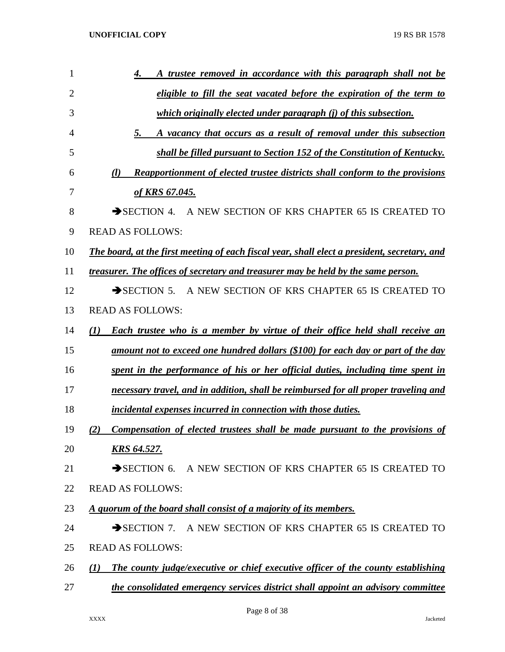| 1              | A trustee removed in accordance with this paragraph shall not be<br>4.                               |
|----------------|------------------------------------------------------------------------------------------------------|
| $\overline{2}$ | eligible to fill the seat vacated before the expiration of the term to                               |
| 3              | which originally elected under paragraph (j) of this subsection.                                     |
| 4              | 5.<br>A vacancy that occurs as a result of removal under this subsection                             |
| 5              | shall be filled pursuant to Section 152 of the Constitution of Kentucky.                             |
| 6              | <b>Reapportionment of elected trustee districts shall conform to the provisions</b><br>$\mathcal{U}$ |
| 7              | of KRS 67.045.                                                                                       |
| 8              | $\rightarrow$ SECTION 4.<br>A NEW SECTION OF KRS CHAPTER 65 IS CREATED TO                            |
| 9              | <b>READ AS FOLLOWS:</b>                                                                              |
| 10             | The board, at the first meeting of each fiscal year, shall elect a president, secretary, and         |
| 11             | treasurer. The offices of secretary and treasurer may be held by the same person.                    |
| 12             | $\rightarrow$ SECTION 5.<br>A NEW SECTION OF KRS CHAPTER 65 IS CREATED TO                            |
| 13             | <b>READ AS FOLLOWS:</b>                                                                              |
| 14             | <b>Each trustee who is a member by virtue of their office held shall receive an</b><br>(1)           |
| 15             | amount not to exceed one hundred dollars (\$100) for each day or part of the day                     |
| 16             | spent in the performance of his or her official duties, including time spent in                      |
| 17             | necessary travel, and in addition, shall be reimbursed for all proper traveling and                  |
| 18             | incidental expenses incurred in connection with those duties.                                        |
| 19             | Compensation of elected trustees shall be made pursuant to the provisions of<br>(2)                  |
| 20             | <b>KRS 64.527.</b>                                                                                   |
| 21             | SECTION 6. A NEW SECTION OF KRS CHAPTER 65 IS CREATED TO                                             |
| 22             | <b>READ AS FOLLOWS:</b>                                                                              |
| 23             | A quorum of the board shall consist of a majority of its members.                                    |
| 24             | SECTION 7. A NEW SECTION OF KRS CHAPTER 65 IS CREATED TO                                             |
| 25             | <b>READ AS FOLLOWS:</b>                                                                              |
| 26             | The county judge/executive or chief executive officer of the county establishing<br>(1)              |
| 27             | the consolidated emergency services district shall appoint an advisory committee                     |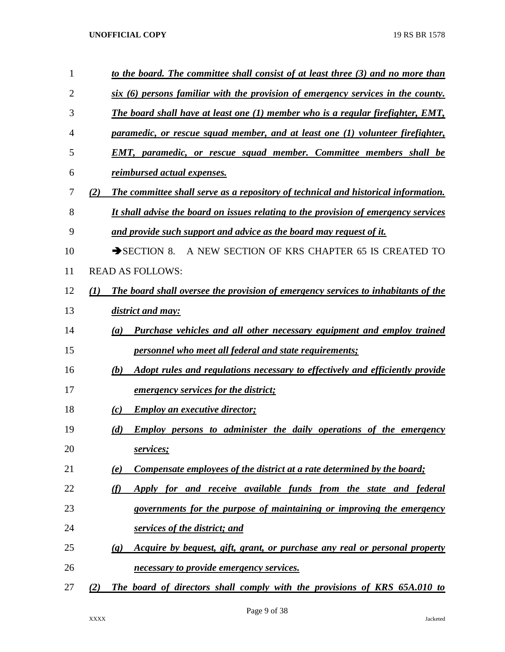| $\mathbf{1}$ | to the board. The committee shall consist of at least three (3) and no more than                         |
|--------------|----------------------------------------------------------------------------------------------------------|
| 2            | six (6) persons familiar with the provision of emergency services in the county.                         |
| 3            | The board shall have at least one $(1)$ member who is a regular firefighter, EMT,                        |
| 4            | paramedic, or rescue squad member, and at least one (1) volunteer firefighter,                           |
| 5            | <b>EMT, paramedic, or rescue squad member. Committee members shall be</b>                                |
| 6            | <i>reimbursed actual expenses.</i>                                                                       |
| 7            | The committee shall serve as a repository of technical and historical information.<br>(2)                |
| 8            | It shall advise the board on issues relating to the provision of emergency services                      |
| 9            | and provide such support and advice as the board may request of it.                                      |
| 10           | A NEW SECTION OF KRS CHAPTER 65 IS CREATED TO<br>$\rightarrow$ SECTION 8.                                |
| 11           | <b>READ AS FOLLOWS:</b>                                                                                  |
| 12           | The board shall oversee the provision of emergency services to inhabitants of the<br>(1)                 |
| 13           | district and may:                                                                                        |
| 14           | Purchase vehicles and all other necessary equipment and employ trained<br>(a)                            |
| 15           | <i>personnel who meet all federal and state requirements;</i>                                            |
| 16           | Adopt rules and regulations necessary to effectively and efficiently provide<br>(b)                      |
| 17           | <u>emergency services for the district;</u>                                                              |
| 18           | <b>Employ an executive director;</b><br>(c)                                                              |
| 19           | (d)<br><b>Employ persons to administer the daily operations of the emergency</b>                         |
| 20           | services;                                                                                                |
| 21           | Compensate employees of the district at a rate determined by the board;<br>(e)                           |
| 22           | (f)<br>Apply for and receive available funds from the state and federal                                  |
| 23           | governments for the purpose of maintaining or improving the emergency                                    |
| 24           | services of the district; and                                                                            |
| 25           | Acquire by bequest, gift, grant, or purchase any real or personal property<br>$\left( \mathbf{g}\right)$ |
| 26           | necessary to provide emergency services.                                                                 |
| 27           | The board of directors shall comply with the provisions of KRS 65A.010 to<br>(2)                         |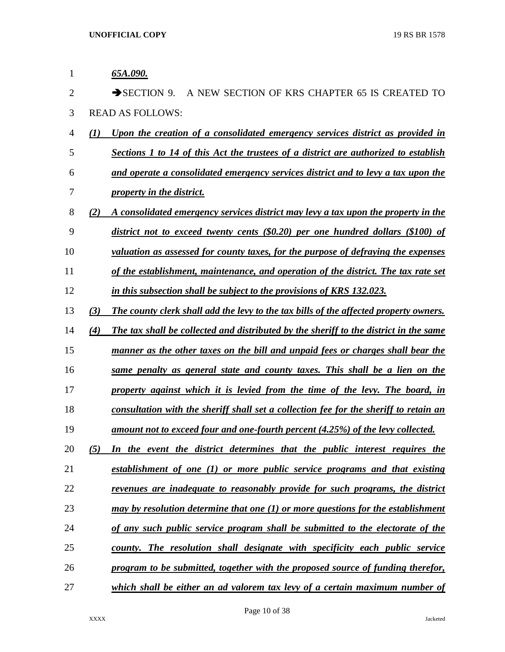| 1              | 65A.090.                                                                                           |
|----------------|----------------------------------------------------------------------------------------------------|
| $\overline{2}$ | $\rightarrow$ SECTION 9.<br>A NEW SECTION OF KRS CHAPTER 65 IS CREATED TO                          |
| 3              | <b>READ AS FOLLOWS:</b>                                                                            |
| $\overline{4}$ | Upon the creation of a consolidated emergency services district as provided in<br>$\mathcal{L}(I)$ |
| 5              | Sections 1 to 14 of this Act the trustees of a district are authorized to establish                |
| 6              | and operate a consolidated emergency services district and to levy a tax upon the                  |
| 7              | property in the district.                                                                          |
| 8              | (2)<br>A consolidated emergency services district may levy a tax upon the property in the          |
| 9              | district not to exceed twenty cents $(\$0.20)$ per one hundred dollars $(\$100)$ of                |
| 10             | valuation as assessed for county taxes, for the purpose of defraying the expenses                  |
| 11             | of the establishment, maintenance, and operation of the district. The tax rate set                 |
| 12             | in this subsection shall be subject to the provisions of KRS 132.023.                              |
| 13             | (3)<br>The county clerk shall add the levy to the tax bills of the affected property owners.       |
| 14             | The tax shall be collected and distributed by the sheriff to the district in the same<br>(4)       |
| 15             | manner as the other taxes on the bill and unpaid fees or charges shall bear the                    |
| 16             | same penalty as general state and county taxes. This shall be a lien on the                        |
| 17             | property against which it is levied from the time of the levy. The board, in                       |
| 18             | consultation with the sheriff shall set a collection fee for the sheriff to retain an              |
| 19             | amount not to exceed four and one-fourth percent (4.25%) of the levy collected.                    |
| 20             | In the event the district determines that the public interest requires the<br>(5)                  |
| 21             | establishment of one (1) or more public service programs and that existing                         |
| 22             | <u>revenues are inadequate to reasonably provide for such programs, the district</u>               |
| 23             | may by resolution determine that one (1) or more questions for the establishment                   |
| 24             | of any such public service program shall be submitted to the electorate of the                     |
| 25             | county. The resolution shall designate with specificity each public service                        |
| 26             | program to be submitted, together with the proposed source of funding therefor,                    |
| 27             | which shall be either an ad valorem tax levy of a certain maximum number of                        |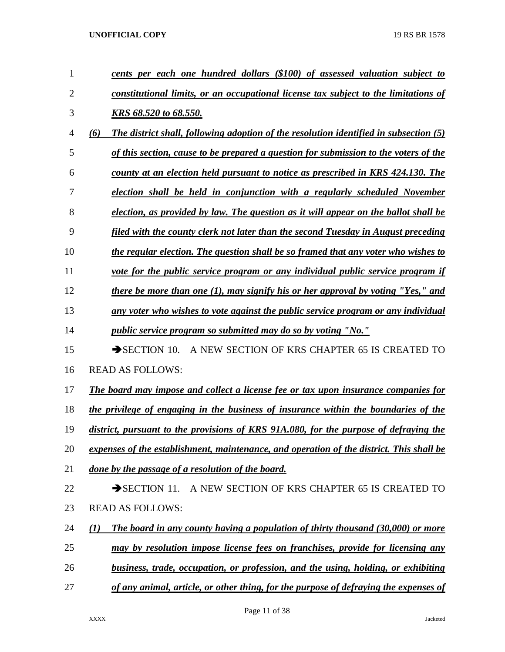| 1              | cents per each one hundred dollars (\$100) of assessed valuation subject to                  |
|----------------|----------------------------------------------------------------------------------------------|
| $\overline{2}$ | constitutional limits, or an occupational license tax subject to the limitations of          |
| 3              | KRS 68.520 to 68.550.                                                                        |
| $\overline{4}$ | (6)<br>The district shall, following adoption of the resolution identified in subsection (5) |
| 5              | of this section, cause to be prepared a question for submission to the voters of the         |
| 6              | county at an election held pursuant to notice as prescribed in KRS 424.130. The              |
| 7              | election shall be held in conjunction with a regularly scheduled November                    |
| 8              | election, as provided by law. The question as it will appear on the ballot shall be          |
| 9              | filed with the county clerk not later than the second Tuesday in August preceding            |
| 10             | the regular election. The question shall be so framed that any voter who wishes to           |
| 11             | vote for the public service program or any individual public service program if              |
| 12             | there be more than one (1), may signify his or her approval by voting "Yes," and             |
| 13             | any voter who wishes to vote against the public service program or any individual            |
| 14             | <i>public service program so submitted may do so by voting "No."</i>                         |
| 15             | A NEW SECTION OF KRS CHAPTER 65 IS CREATED TO<br>$\rightarrow$ SECTION 10.                   |
| 16             | <b>READ AS FOLLOWS:</b>                                                                      |
| 17             | The board may impose and collect a license fee or tax upon insurance companies for           |
| 18             | the privilege of engaging in the business of insurance within the boundaries of the          |
| 19             | district, pursuant to the provisions of KRS 91A.080, for the purpose of defraying the        |
| 20             | expenses of the establishment, maintenance, and operation of the district. This shall be     |
| 21             | done by the passage of a resolution of the board.                                            |
| 22             | A NEW SECTION OF KRS CHAPTER 65 IS CREATED TO<br>$\rightarrow$ SECTION 11.                   |
| 23             | <b>READ AS FOLLOWS:</b>                                                                      |
| 24             | The board in any county having a population of thirty thousand (30,000) or more<br>(1)       |
| 25             | may by resolution impose license fees on franchises, provide for licensing any               |
| 26             | business, trade, occupation, or profession, and the using, holding, or exhibiting            |
| 27             | of any animal, article, or other thing, for the purpose of defraying the expenses of         |

Page 11 of 38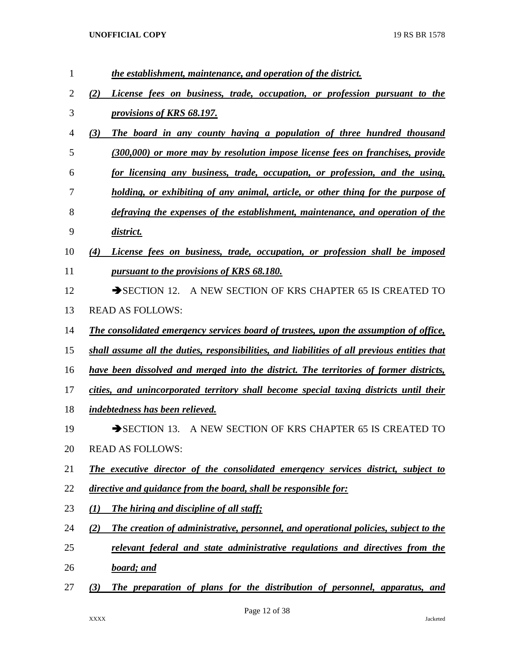| the establishment, maintenance, and operation of the district.                               |
|----------------------------------------------------------------------------------------------|
| License fees on business, trade, occupation, or profession pursuant to the<br>(2)            |
| provisions of KRS 68.197.                                                                    |
| (3)<br>The board in any county having a population of three hundred thousand                 |
| (300,000) or more may by resolution impose license fees on franchises, provide               |
| for licensing any business, trade, occupation, or profession, and the using,                 |
| holding, or exhibiting of any animal, article, or other thing for the purpose of             |
| defraying the expenses of the establishment, maintenance, and operation of the               |
| district.                                                                                    |
| License fees on business, trade, occupation, or profession shall be imposed<br>(4)           |
| pursuant to the provisions of KRS 68.180.                                                    |
| A NEW SECTION OF KRS CHAPTER 65 IS CREATED TO<br>$\rightarrow$ SECTION 12.                   |
| <b>READ AS FOLLOWS:</b>                                                                      |
| The consolidated emergency services board of trustees, upon the assumption of office,        |
| shall assume all the duties, responsibilities, and liabilities of all previous entities that |
| have been dissolved and merged into the district. The territories of former districts,       |
| cities, and unincorporated territory shall become special taxing districts until their       |
| indebtedness has been relieved.                                                              |
| A NEW SECTION OF KRS CHAPTER 65 IS CREATED TO<br>$\rightarrow$ SECTION 13.                   |
| <b>READ AS FOLLOWS:</b>                                                                      |
| The executive director of the consolidated emergency services district, subject to           |
| directive and guidance from the board, shall be responsible for:                             |
| $\mathcal{L}(I)$<br><b>The hiring and discipline of all staff;</b>                           |
| (2)<br>The creation of administrative, personnel, and operational policies, subject to the   |
| relevant federal and state administrative regulations and directives from the                |
| board; and                                                                                   |
| The preparation of plans for the distribution of personnel, apparatus, and<br>(3)            |
|                                                                                              |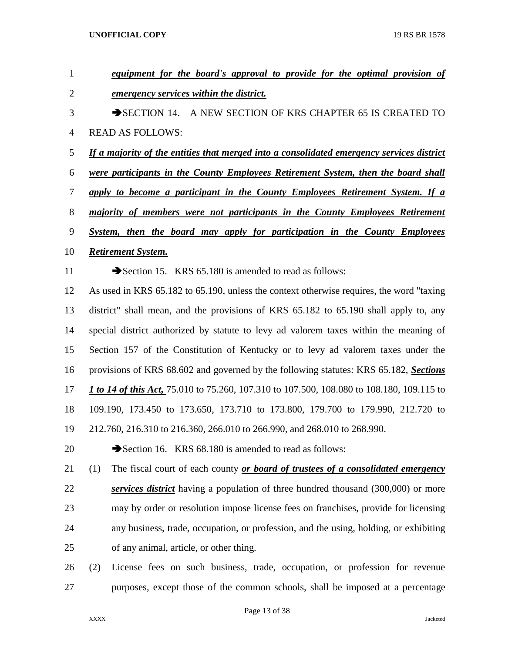| 1              | equipment for the board's approval to provide for the optimal provision of                       |  |  |
|----------------|--------------------------------------------------------------------------------------------------|--|--|
| $\overline{2}$ | emergency services within the district.                                                          |  |  |
| 3              | $\rightarrow$ SECTION 14.<br>A NEW SECTION OF KRS CHAPTER 65 IS CREATED TO                       |  |  |
| $\overline{4}$ | <b>READ AS FOLLOWS:</b>                                                                          |  |  |
| 5              | <u>If a majority of the entities that merged into a consolidated emergency services district</u> |  |  |
| 6              | <u>were participants in the County Employees Retirement System, then the board shall</u>         |  |  |
| 7              | apply to become a participant in the County Employees Retirement System. If a                    |  |  |
| $8\,$          | majority of members were not participants in the County Employees Retirement                     |  |  |
| 9              | System, then the board may apply for participation in the County Employees                       |  |  |
| 10             | <b>Retirement System.</b>                                                                        |  |  |
| 11             | Section 15. KRS 65.180 is amended to read as follows:                                            |  |  |
| 12             | As used in KRS 65.182 to 65.190, unless the context otherwise requires, the word "taxing         |  |  |
| 13             | district" shall mean, and the provisions of KRS 65.182 to 65.190 shall apply to, any             |  |  |
| 14             | special district authorized by statute to levy ad valorem taxes within the meaning of            |  |  |
| 15             | Section 157 of the Constitution of Kentucky or to levy ad valorem taxes under the                |  |  |
| 16             | provisions of KRS 68.602 and governed by the following statutes: KRS 65.182, Sections            |  |  |
| 17             | 1 to 14 of this Act, 75.010 to 75.260, 107.310 to 107.500, 108.080 to 108.180, 109.115 to        |  |  |
| 18             | 109.190, 173.450 to 173.650, 173.710 to 173.800, 179.700 to 179.990, 212.720 to                  |  |  |
| 19             | 212.760, 216.310 to 216.360, 266.010 to 266.990, and 268.010 to 268.990.                         |  |  |
| 20             | Section 16. KRS 68.180 is amended to read as follows:                                            |  |  |
| 21             | The fiscal court of each county or board of trustees of a consolidated emergency<br>(1)          |  |  |
| 22             | services district having a population of three hundred thousand (300,000) or more                |  |  |
| 23             | may by order or resolution impose license fees on franchises, provide for licensing              |  |  |
| 24             | any business, trade, occupation, or profession, and the using, holding, or exhibiting            |  |  |
| 25             | of any animal, article, or other thing.                                                          |  |  |
| 26             | (2)<br>License fees on such business, trade, occupation, or profession for revenue               |  |  |
| 27             | purposes, except those of the common schools, shall be imposed at a percentage                   |  |  |

Page 13 of 38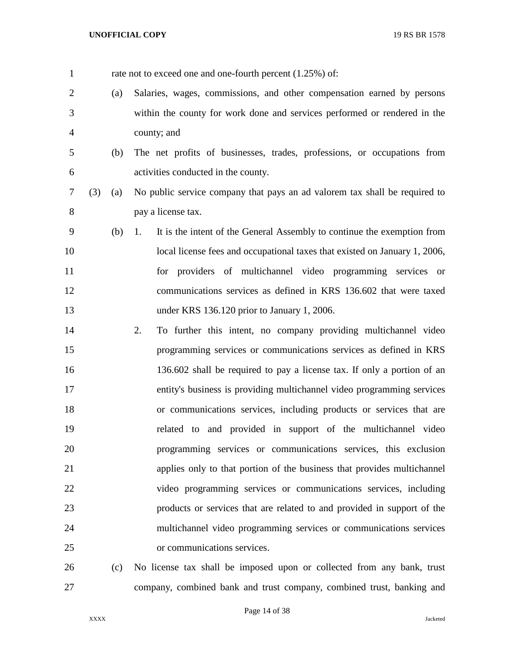| $\mathbf{1}$   |     |     | rate not to exceed one and one-fourth percent (1.25%) of:                     |
|----------------|-----|-----|-------------------------------------------------------------------------------|
| $\overline{2}$ |     | (a) | Salaries, wages, commissions, and other compensation earned by persons        |
| 3              |     |     | within the county for work done and services performed or rendered in the     |
| 4              |     |     | county; and                                                                   |
| 5              |     | (b) | The net profits of businesses, trades, professions, or occupations from       |
| 6              |     |     | activities conducted in the county.                                           |
| 7              | (3) | (a) | No public service company that pays an ad valorem tax shall be required to    |
| 8              |     |     | pay a license tax.                                                            |
| 9              |     | (b) | It is the intent of the General Assembly to continue the exemption from<br>1. |
| 10             |     |     | local license fees and occupational taxes that existed on January 1, 2006,    |
| 11             |     |     | for providers of multichannel video programming services or                   |
| 12             |     |     | communications services as defined in KRS 136.602 that were taxed             |
| 13             |     |     | under KRS 136.120 prior to January 1, 2006.                                   |
| 14             |     |     | 2.<br>To further this intent, no company providing multichannel video         |
| 15             |     |     | programming services or communications services as defined in KRS             |
| 16             |     |     | 136.602 shall be required to pay a license tax. If only a portion of an       |
| 17             |     |     | entity's business is providing multichannel video programming services        |
| 18             |     |     | or communications services, including products or services that are           |
| 19             |     |     | related to and provided in support of the multichannel video                  |
| 20             |     |     | programming services or communications services, this exclusion               |
| 21             |     |     | applies only to that portion of the business that provides multichannel       |
| 22             |     |     | video programming services or communications services, including              |
| 23             |     |     | products or services that are related to and provided in support of the       |
| 24             |     |     | multichannel video programming services or communications services            |
| 25             |     |     | or communications services.                                                   |
| 26             |     | (c) | No license tax shall be imposed upon or collected from any bank, trust        |
| 27             |     |     | company, combined bank and trust company, combined trust, banking and         |

Page 14 of 38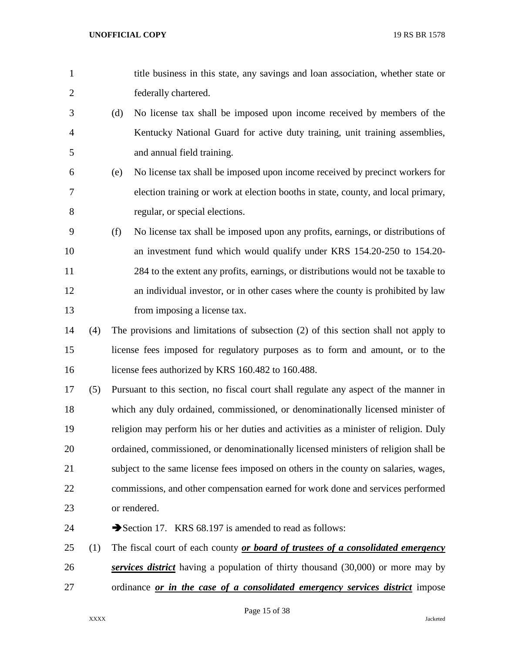- title business in this state, any savings and loan association, whether state or federally chartered.
- (d) No license tax shall be imposed upon income received by members of the Kentucky National Guard for active duty training, unit training assemblies, and annual field training.
- (e) No license tax shall be imposed upon income received by precinct workers for election training or work at election booths in state, county, and local primary, regular, or special elections.
- (f) No license tax shall be imposed upon any profits, earnings, or distributions of an investment fund which would qualify under KRS 154.20-250 to 154.20- 284 to the extent any profits, earnings, or distributions would not be taxable to an individual investor, or in other cases where the county is prohibited by law from imposing a license tax.
- (4) The provisions and limitations of subsection (2) of this section shall not apply to license fees imposed for regulatory purposes as to form and amount, or to the 16 license fees authorized by KRS 160.482 to 160.488.
- (5) Pursuant to this section, no fiscal court shall regulate any aspect of the manner in which any duly ordained, commissioned, or denominationally licensed minister of religion may perform his or her duties and activities as a minister of religion. Duly ordained, commissioned, or denominationally licensed ministers of religion shall be subject to the same license fees imposed on others in the county on salaries, wages, commissions, and other compensation earned for work done and services performed or rendered.
- 24 Section 17. KRS 68.197 is amended to read as follows:
- (1) The fiscal court of each county *or board of trustees of a consolidated emergency services district* having a population of thirty thousand (30,000) or more may by ordinance *or in the case of a consolidated emergency services district* impose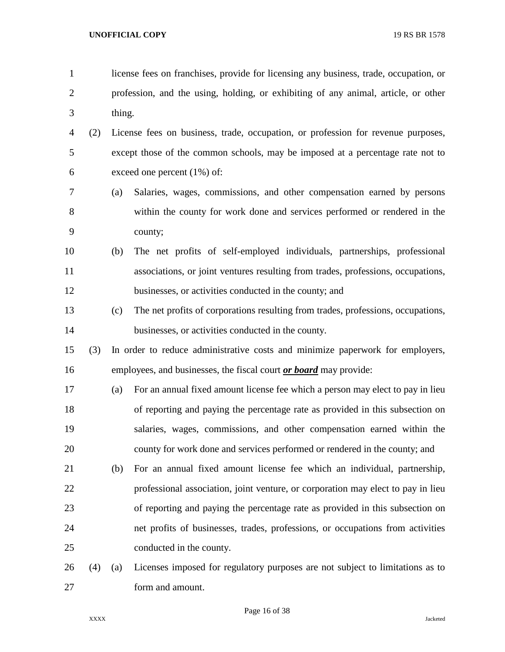- license fees on franchises, provide for licensing any business, trade, occupation, or profession, and the using, holding, or exhibiting of any animal, article, or other thing.
- (2) License fees on business, trade, occupation, or profession for revenue purposes, except those of the common schools, may be imposed at a percentage rate not to exceed one percent (1%) of:
- (a) Salaries, wages, commissions, and other compensation earned by persons within the county for work done and services performed or rendered in the county;
- (b) The net profits of self-employed individuals, partnerships, professional associations, or joint ventures resulting from trades, professions, occupations, businesses, or activities conducted in the county; and
- (c) The net profits of corporations resulting from trades, professions, occupations, businesses, or activities conducted in the county.
- (3) In order to reduce administrative costs and minimize paperwork for employers, employees, and businesses, the fiscal court *or board* may provide:
- (a) For an annual fixed amount license fee which a person may elect to pay in lieu of reporting and paying the percentage rate as provided in this subsection on salaries, wages, commissions, and other compensation earned within the county for work done and services performed or rendered in the county; and
- (b) For an annual fixed amount license fee which an individual, partnership, professional association, joint venture, or corporation may elect to pay in lieu of reporting and paying the percentage rate as provided in this subsection on net profits of businesses, trades, professions, or occupations from activities conducted in the county.
- (4) (a) Licenses imposed for regulatory purposes are not subject to limitations as to form and amount.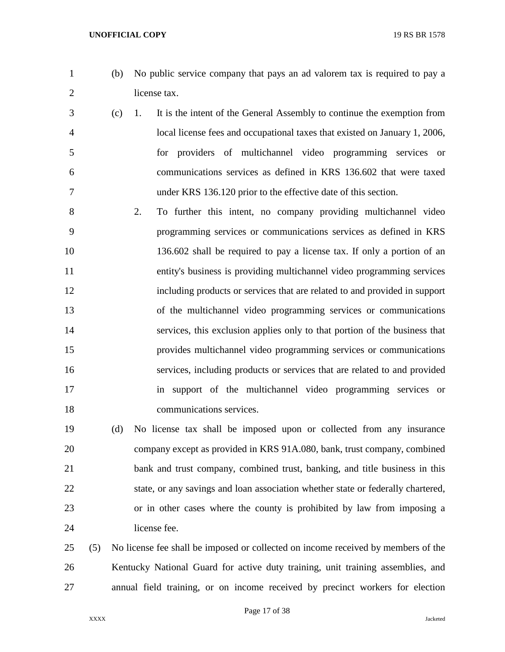- 
- (b) No public service company that pays an ad valorem tax is required to pay a license tax.
- (c) 1. It is the intent of the General Assembly to continue the exemption from local license fees and occupational taxes that existed on January 1, 2006, for providers of multichannel video programming services or communications services as defined in KRS 136.602 that were taxed under KRS 136.120 prior to the effective date of this section.
- 2. To further this intent, no company providing multichannel video programming services or communications services as defined in KRS 136.602 shall be required to pay a license tax. If only a portion of an entity's business is providing multichannel video programming services including products or services that are related to and provided in support of the multichannel video programming services or communications services, this exclusion applies only to that portion of the business that provides multichannel video programming services or communications services, including products or services that are related to and provided in support of the multichannel video programming services or communications services.

 (d) No license tax shall be imposed upon or collected from any insurance company except as provided in KRS 91A.080, bank, trust company, combined bank and trust company, combined trust, banking, and title business in this state, or any savings and loan association whether state or federally chartered, or in other cases where the county is prohibited by law from imposing a license fee.

 (5) No license fee shall be imposed or collected on income received by members of the Kentucky National Guard for active duty training, unit training assemblies, and annual field training, or on income received by precinct workers for election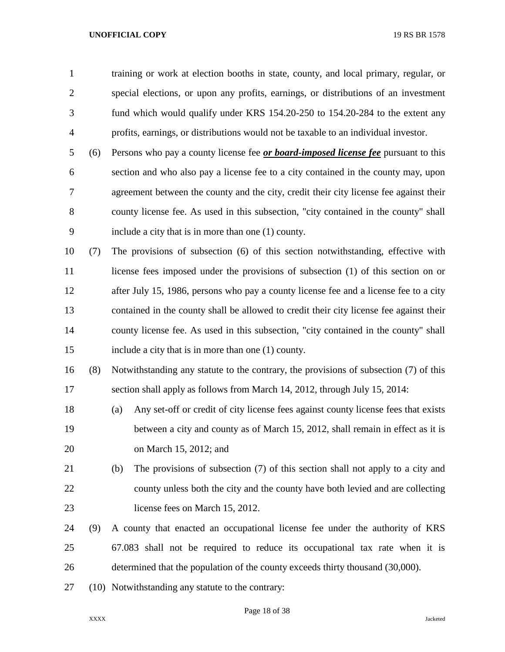| $\mathbf{1}$   |     | training or work at election booths in state, county, and local primary, regular, or      |
|----------------|-----|-------------------------------------------------------------------------------------------|
| $\overline{2}$ |     | special elections, or upon any profits, earnings, or distributions of an investment       |
| 3              |     | fund which would qualify under KRS 154.20-250 to 154.20-284 to the extent any             |
| 4              |     | profits, earnings, or distributions would not be taxable to an individual investor.       |
| 5              | (6) | Persons who pay a county license fee <i>or board-imposed license fee</i> pursuant to this |
| 6              |     | section and who also pay a license fee to a city contained in the county may, upon        |
| 7              |     | agreement between the county and the city, credit their city license fee against their    |
| 8              |     | county license fee. As used in this subsection, "city contained in the county" shall      |
| 9              |     | include a city that is in more than one (1) county.                                       |
| 10             | (7) | The provisions of subsection (6) of this section notwithstanding, effective with          |
| 11             |     | license fees imposed under the provisions of subsection (1) of this section on or         |
| 12             |     | after July 15, 1986, persons who pay a county license fee and a license fee to a city     |
| 13             |     | contained in the county shall be allowed to credit their city license fee against their   |
| 14             |     | county license fee. As used in this subsection, "city contained in the county" shall      |
| 15             |     | include a city that is in more than one (1) county.                                       |
| 16             | (8) | Notwithstanding any statute to the contrary, the provisions of subsection (7) of this     |
| 17             |     | section shall apply as follows from March 14, 2012, through July 15, 2014:                |
| 18             |     | Any set-off or credit of city license fees against county license fees that exists<br>(a) |
| 19             |     | between a city and county as of March 15, 2012, shall remain in effect as it is           |
| 20             |     | on March 15, 2012; and                                                                    |
| 21             |     | The provisions of subsection (7) of this section shall not apply to a city and<br>(b)     |
| 22             |     | county unless both the city and the county have both levied and are collecting            |
| 23             |     | license fees on March 15, 2012.                                                           |
| 24             | (9) | A county that enacted an occupational license fee under the authority of KRS              |
| 25             |     | 67.083 shall not be required to reduce its occupational tax rate when it is               |
| 26             |     | determined that the population of the county exceeds thirty thousand (30,000).            |
| 27             |     | (10) Notwithstanding any statute to the contrary:                                         |
|                |     |                                                                                           |

Page 18 of 38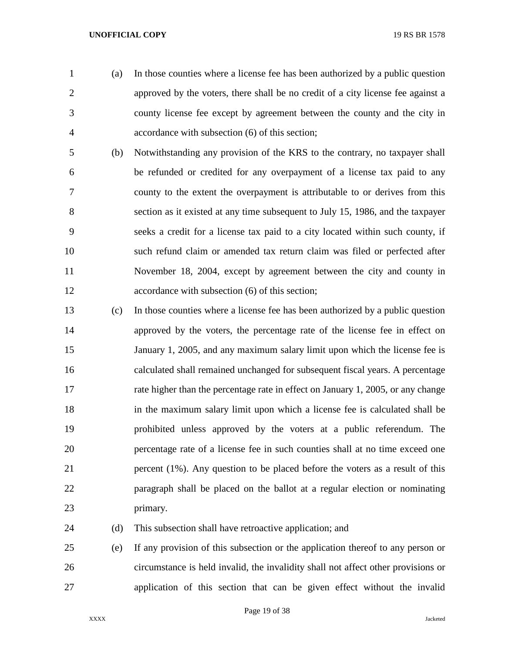(a) In those counties where a license fee has been authorized by a public question approved by the voters, there shall be no credit of a city license fee against a county license fee except by agreement between the county and the city in accordance with subsection (6) of this section;

- (b) Notwithstanding any provision of the KRS to the contrary, no taxpayer shall be refunded or credited for any overpayment of a license tax paid to any county to the extent the overpayment is attributable to or derives from this section as it existed at any time subsequent to July 15, 1986, and the taxpayer seeks a credit for a license tax paid to a city located within such county, if such refund claim or amended tax return claim was filed or perfected after November 18, 2004, except by agreement between the city and county in accordance with subsection (6) of this section;
- (c) In those counties where a license fee has been authorized by a public question approved by the voters, the percentage rate of the license fee in effect on January 1, 2005, and any maximum salary limit upon which the license fee is calculated shall remained unchanged for subsequent fiscal years. A percentage rate higher than the percentage rate in effect on January 1, 2005, or any change in the maximum salary limit upon which a license fee is calculated shall be prohibited unless approved by the voters at a public referendum. The percentage rate of a license fee in such counties shall at no time exceed one percent (1%). Any question to be placed before the voters as a result of this paragraph shall be placed on the ballot at a regular election or nominating primary.

24 (d) This subsection shall have retroactive application; and

 (e) If any provision of this subsection or the application thereof to any person or circumstance is held invalid, the invalidity shall not affect other provisions or application of this section that can be given effect without the invalid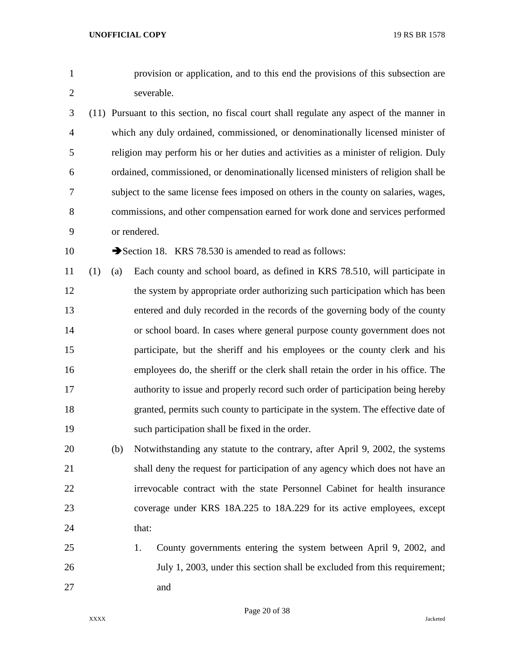provision or application, and to this end the provisions of this subsection are severable.

- (11) Pursuant to this section, no fiscal court shall regulate any aspect of the manner in which any duly ordained, commissioned, or denominationally licensed minister of religion may perform his or her duties and activities as a minister of religion. Duly ordained, commissioned, or denominationally licensed ministers of religion shall be subject to the same license fees imposed on others in the county on salaries, wages, commissions, and other compensation earned for work done and services performed or rendered.
- 

10 Section 18. KRS 78.530 is amended to read as follows:

- (1) (a) Each county and school board, as defined in KRS 78.510, will participate in the system by appropriate order authorizing such participation which has been entered and duly recorded in the records of the governing body of the county or school board. In cases where general purpose county government does not participate, but the sheriff and his employees or the county clerk and his employees do, the sheriff or the clerk shall retain the order in his office. The authority to issue and properly record such order of participation being hereby granted, permits such county to participate in the system. The effective date of such participation shall be fixed in the order.
- (b) Notwithstanding any statute to the contrary, after April 9, 2002, the systems shall deny the request for participation of any agency which does not have an irrevocable contract with the state Personnel Cabinet for health insurance coverage under KRS 18A.225 to 18A.229 for its active employees, except 24 that:
- 1. County governments entering the system between April 9, 2002, and July 1, 2003, under this section shall be excluded from this requirement; and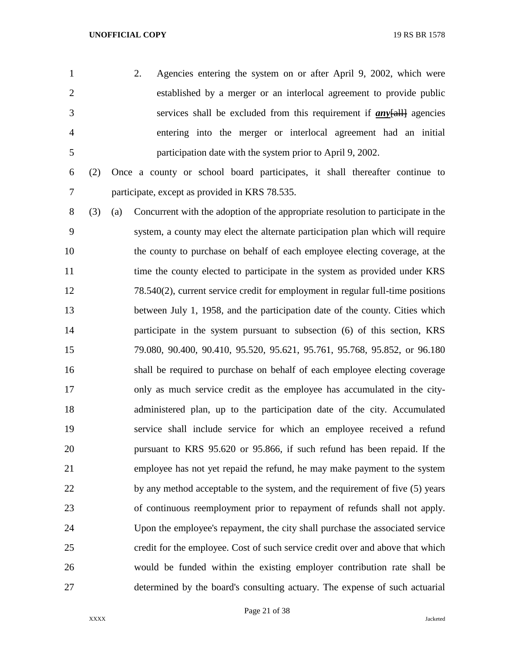- 2. Agencies entering the system on or after April 9, 2002, which were established by a merger or an interlocal agreement to provide public services shall be excluded from this requirement if *any*[all] agencies entering into the merger or interlocal agreement had an initial participation date with the system prior to April 9, 2002.
- 

 (2) Once a county or school board participates, it shall thereafter continue to participate, except as provided in KRS 78.535.

 (3) (a) Concurrent with the adoption of the appropriate resolution to participate in the system, a county may elect the alternate participation plan which will require the county to purchase on behalf of each employee electing coverage, at the 11 time the county elected to participate in the system as provided under KRS 78.540(2), current service credit for employment in regular full-time positions between July 1, 1958, and the participation date of the county. Cities which participate in the system pursuant to subsection (6) of this section, KRS 79.080, 90.400, 90.410, 95.520, 95.621, 95.761, 95.768, 95.852, or 96.180 shall be required to purchase on behalf of each employee electing coverage only as much service credit as the employee has accumulated in the city- administered plan, up to the participation date of the city. Accumulated service shall include service for which an employee received a refund pursuant to KRS 95.620 or 95.866, if such refund has been repaid. If the employee has not yet repaid the refund, he may make payment to the system 22 by any method acceptable to the system, and the requirement of five (5) years of continuous reemployment prior to repayment of refunds shall not apply. Upon the employee's repayment, the city shall purchase the associated service credit for the employee. Cost of such service credit over and above that which would be funded within the existing employer contribution rate shall be determined by the board's consulting actuary. The expense of such actuarial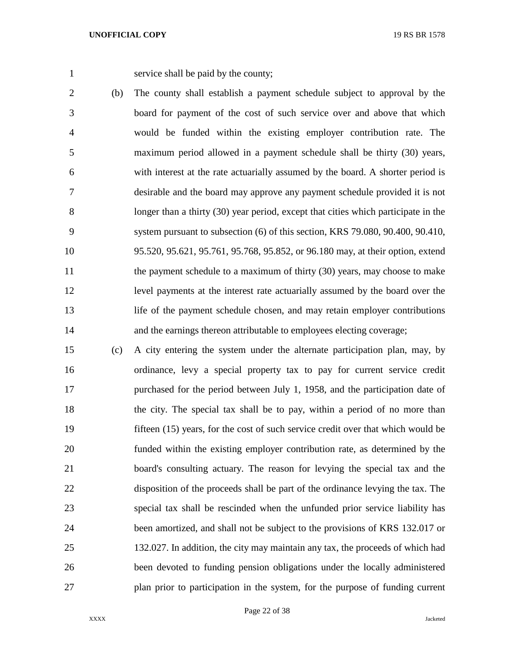service shall be paid by the county;

- (b) The county shall establish a payment schedule subject to approval by the board for payment of the cost of such service over and above that which would be funded within the existing employer contribution rate. The maximum period allowed in a payment schedule shall be thirty (30) years, with interest at the rate actuarially assumed by the board. A shorter period is desirable and the board may approve any payment schedule provided it is not longer than a thirty (30) year period, except that cities which participate in the system pursuant to subsection (6) of this section, KRS 79.080, 90.400, 90.410, 95.520, 95.621, 95.761, 95.768, 95.852, or 96.180 may, at their option, extend 11 the payment schedule to a maximum of thirty (30) years, may choose to make level payments at the interest rate actuarially assumed by the board over the life of the payment schedule chosen, and may retain employer contributions 14 and the earnings thereon attributable to employees electing coverage;
- (c) A city entering the system under the alternate participation plan, may, by ordinance, levy a special property tax to pay for current service credit purchased for the period between July 1, 1958, and the participation date of the city. The special tax shall be to pay, within a period of no more than fifteen (15) years, for the cost of such service credit over that which would be funded within the existing employer contribution rate, as determined by the board's consulting actuary. The reason for levying the special tax and the disposition of the proceeds shall be part of the ordinance levying the tax. The special tax shall be rescinded when the unfunded prior service liability has been amortized, and shall not be subject to the provisions of KRS 132.017 or 132.027. In addition, the city may maintain any tax, the proceeds of which had been devoted to funding pension obligations under the locally administered plan prior to participation in the system, for the purpose of funding current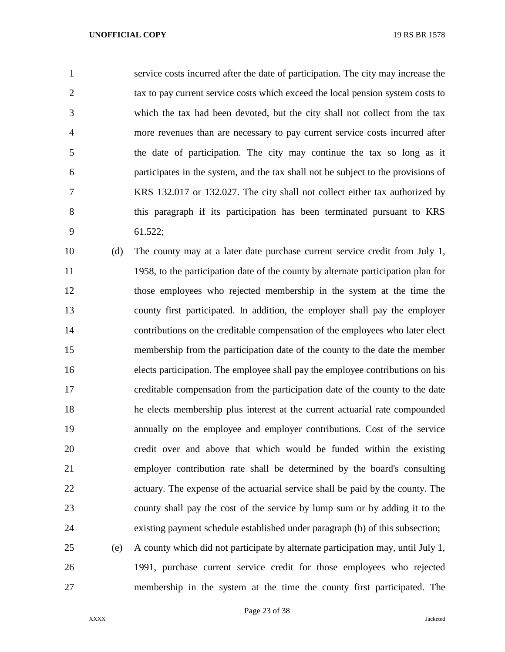service costs incurred after the date of participation. The city may increase the tax to pay current service costs which exceed the local pension system costs to which the tax had been devoted, but the city shall not collect from the tax more revenues than are necessary to pay current service costs incurred after the date of participation. The city may continue the tax so long as it participates in the system, and the tax shall not be subject to the provisions of KRS 132.017 or 132.027. The city shall not collect either tax authorized by this paragraph if its participation has been terminated pursuant to KRS 61.522;

 (d) The county may at a later date purchase current service credit from July 1, 1958, to the participation date of the county by alternate participation plan for those employees who rejected membership in the system at the time the county first participated. In addition, the employer shall pay the employer contributions on the creditable compensation of the employees who later elect membership from the participation date of the county to the date the member elects participation. The employee shall pay the employee contributions on his creditable compensation from the participation date of the county to the date he elects membership plus interest at the current actuarial rate compounded annually on the employee and employer contributions. Cost of the service credit over and above that which would be funded within the existing employer contribution rate shall be determined by the board's consulting actuary. The expense of the actuarial service shall be paid by the county. The county shall pay the cost of the service by lump sum or by adding it to the existing payment schedule established under paragraph (b) of this subsection;

 (e) A county which did not participate by alternate participation may, until July 1, 1991, purchase current service credit for those employees who rejected membership in the system at the time the county first participated. The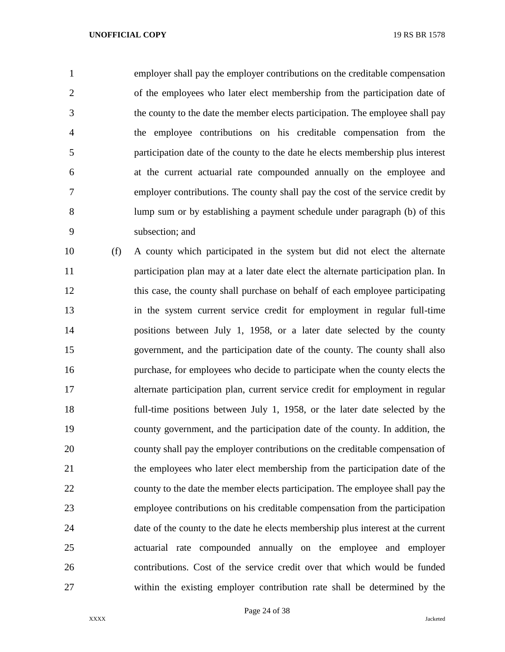employer shall pay the employer contributions on the creditable compensation of the employees who later elect membership from the participation date of the county to the date the member elects participation. The employee shall pay the employee contributions on his creditable compensation from the participation date of the county to the date he elects membership plus interest at the current actuarial rate compounded annually on the employee and employer contributions. The county shall pay the cost of the service credit by lump sum or by establishing a payment schedule under paragraph (b) of this subsection; and

 (f) A county which participated in the system but did not elect the alternate participation plan may at a later date elect the alternate participation plan. In this case, the county shall purchase on behalf of each employee participating in the system current service credit for employment in regular full-time positions between July 1, 1958, or a later date selected by the county government, and the participation date of the county. The county shall also purchase, for employees who decide to participate when the county elects the alternate participation plan, current service credit for employment in regular full-time positions between July 1, 1958, or the later date selected by the county government, and the participation date of the county. In addition, the county shall pay the employer contributions on the creditable compensation of the employees who later elect membership from the participation date of the county to the date the member elects participation. The employee shall pay the employee contributions on his creditable compensation from the participation date of the county to the date he elects membership plus interest at the current actuarial rate compounded annually on the employee and employer contributions. Cost of the service credit over that which would be funded within the existing employer contribution rate shall be determined by the

Page 24 of 38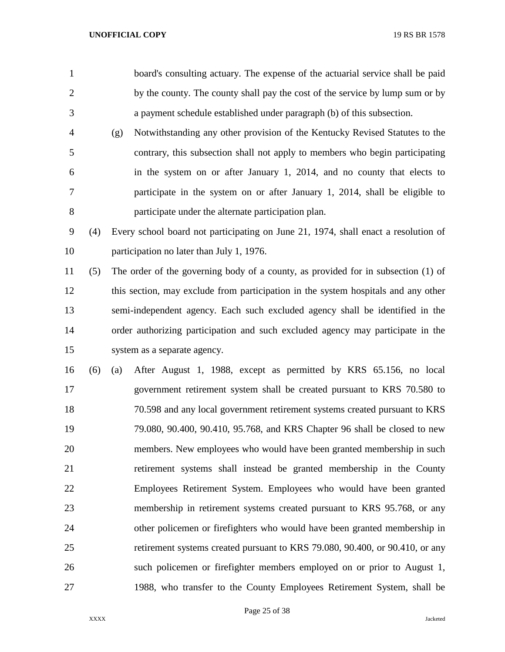- board's consulting actuary. The expense of the actuarial service shall be paid by the county. The county shall pay the cost of the service by lump sum or by a payment schedule established under paragraph (b) of this subsection.
- (g) Notwithstanding any other provision of the Kentucky Revised Statutes to the contrary, this subsection shall not apply to members who begin participating in the system on or after January 1, 2014, and no county that elects to participate in the system on or after January 1, 2014, shall be eligible to participate under the alternate participation plan.

 (4) Every school board not participating on June 21, 1974, shall enact a resolution of participation no later than July 1, 1976.

 (5) The order of the governing body of a county, as provided for in subsection (1) of this section, may exclude from participation in the system hospitals and any other semi-independent agency. Each such excluded agency shall be identified in the order authorizing participation and such excluded agency may participate in the system as a separate agency.

 (6) (a) After August 1, 1988, except as permitted by KRS 65.156, no local government retirement system shall be created pursuant to KRS 70.580 to 70.598 and any local government retirement systems created pursuant to KRS 79.080, 90.400, 90.410, 95.768, and KRS Chapter 96 shall be closed to new members. New employees who would have been granted membership in such retirement systems shall instead be granted membership in the County Employees Retirement System. Employees who would have been granted membership in retirement systems created pursuant to KRS 95.768, or any other policemen or firefighters who would have been granted membership in retirement systems created pursuant to KRS 79.080, 90.400, or 90.410, or any such policemen or firefighter members employed on or prior to August 1, 1988, who transfer to the County Employees Retirement System, shall be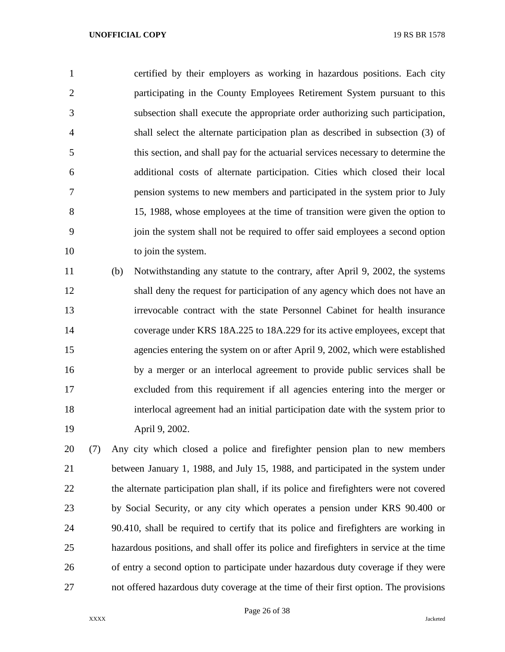certified by their employers as working in hazardous positions. Each city participating in the County Employees Retirement System pursuant to this subsection shall execute the appropriate order authorizing such participation, shall select the alternate participation plan as described in subsection (3) of this section, and shall pay for the actuarial services necessary to determine the additional costs of alternate participation. Cities which closed their local pension systems to new members and participated in the system prior to July 15, 1988, whose employees at the time of transition were given the option to join the system shall not be required to offer said employees a second option 10 to join the system.

 (b) Notwithstanding any statute to the contrary, after April 9, 2002, the systems shall deny the request for participation of any agency which does not have an irrevocable contract with the state Personnel Cabinet for health insurance coverage under KRS 18A.225 to 18A.229 for its active employees, except that agencies entering the system on or after April 9, 2002, which were established by a merger or an interlocal agreement to provide public services shall be excluded from this requirement if all agencies entering into the merger or interlocal agreement had an initial participation date with the system prior to April 9, 2002.

 (7) Any city which closed a police and firefighter pension plan to new members between January 1, 1988, and July 15, 1988, and participated in the system under the alternate participation plan shall, if its police and firefighters were not covered by Social Security, or any city which operates a pension under KRS 90.400 or 90.410, shall be required to certify that its police and firefighters are working in hazardous positions, and shall offer its police and firefighters in service at the time of entry a second option to participate under hazardous duty coverage if they were not offered hazardous duty coverage at the time of their first option. The provisions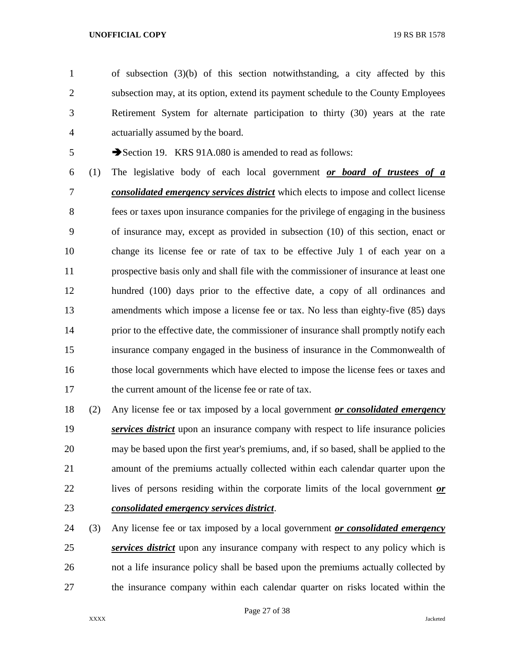of subsection (3)(b) of this section notwithstanding, a city affected by this subsection may, at its option, extend its payment schedule to the County Employees Retirement System for alternate participation to thirty (30) years at the rate actuarially assumed by the board.

5 Section 19. KRS 91A.080 is amended to read as follows:

 (1) The legislative body of each local government *or board of trustees of a consolidated emergency services district* which elects to impose and collect license fees or taxes upon insurance companies for the privilege of engaging in the business of insurance may, except as provided in subsection (10) of this section, enact or change its license fee or rate of tax to be effective July 1 of each year on a prospective basis only and shall file with the commissioner of insurance at least one hundred (100) days prior to the effective date, a copy of all ordinances and amendments which impose a license fee or tax. No less than eighty-five (85) days 14 prior to the effective date, the commissioner of insurance shall promptly notify each insurance company engaged in the business of insurance in the Commonwealth of those local governments which have elected to impose the license fees or taxes and the current amount of the license fee or rate of tax.

 (2) Any license fee or tax imposed by a local government *or consolidated emergency services district* upon an insurance company with respect to life insurance policies may be based upon the first year's premiums, and, if so based, shall be applied to the amount of the premiums actually collected within each calendar quarter upon the lives of persons residing within the corporate limits of the local government *or consolidated emergency services district*.

 (3) Any license fee or tax imposed by a local government *or consolidated emergency services district* upon any insurance company with respect to any policy which is not a life insurance policy shall be based upon the premiums actually collected by the insurance company within each calendar quarter on risks located within the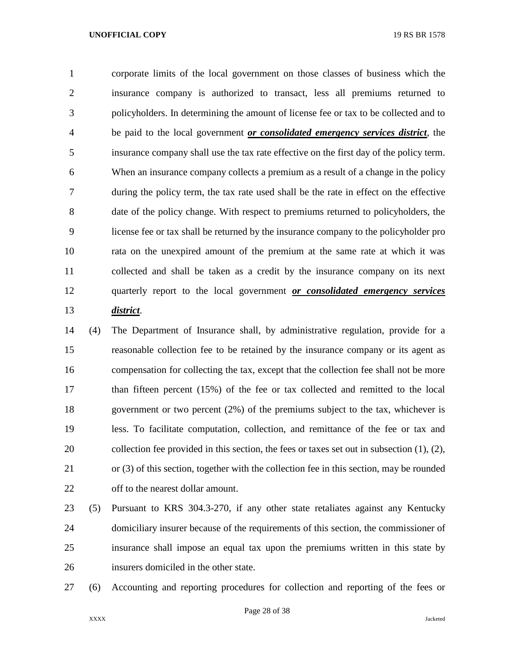corporate limits of the local government on those classes of business which the insurance company is authorized to transact, less all premiums returned to policyholders. In determining the amount of license fee or tax to be collected and to be paid to the local government *or consolidated emergency services district*, the insurance company shall use the tax rate effective on the first day of the policy term. When an insurance company collects a premium as a result of a change in the policy during the policy term, the tax rate used shall be the rate in effect on the effective date of the policy change. With respect to premiums returned to policyholders, the license fee or tax shall be returned by the insurance company to the policyholder pro rata on the unexpired amount of the premium at the same rate at which it was collected and shall be taken as a credit by the insurance company on its next quarterly report to the local government *or consolidated emergency services district*.

 (4) The Department of Insurance shall, by administrative regulation, provide for a reasonable collection fee to be retained by the insurance company or its agent as compensation for collecting the tax, except that the collection fee shall not be more than fifteen percent (15%) of the fee or tax collected and remitted to the local government or two percent (2%) of the premiums subject to the tax, whichever is less. To facilitate computation, collection, and remittance of the fee or tax and collection fee provided in this section, the fees or taxes set out in subsection (1), (2), or (3) of this section, together with the collection fee in this section, may be rounded off to the nearest dollar amount.

 (5) Pursuant to KRS 304.3-270, if any other state retaliates against any Kentucky domiciliary insurer because of the requirements of this section, the commissioner of insurance shall impose an equal tax upon the premiums written in this state by insurers domiciled in the other state.

(6) Accounting and reporting procedures for collection and reporting of the fees or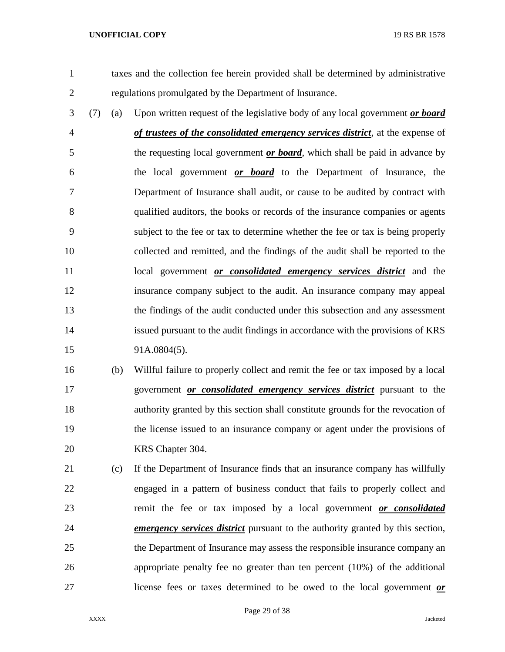taxes and the collection fee herein provided shall be determined by administrative regulations promulgated by the Department of Insurance.

 (7) (a) Upon written request of the legislative body of any local government *or board of trustees of the consolidated emergency services district*, at the expense of the requesting local government *or board*, which shall be paid in advance by the local government *or board* to the Department of Insurance, the Department of Insurance shall audit, or cause to be audited by contract with qualified auditors, the books or records of the insurance companies or agents subject to the fee or tax to determine whether the fee or tax is being properly collected and remitted, and the findings of the audit shall be reported to the local government *or consolidated emergency services district* and the insurance company subject to the audit. An insurance company may appeal the findings of the audit conducted under this subsection and any assessment issued pursuant to the audit findings in accordance with the provisions of KRS 91A.0804(5).

 (b) Willful failure to properly collect and remit the fee or tax imposed by a local government *or consolidated emergency services district* pursuant to the authority granted by this section shall constitute grounds for the revocation of the license issued to an insurance company or agent under the provisions of KRS Chapter 304.

 (c) If the Department of Insurance finds that an insurance company has willfully engaged in a pattern of business conduct that fails to properly collect and remit the fee or tax imposed by a local government *or consolidated emergency services district* pursuant to the authority granted by this section, the Department of Insurance may assess the responsible insurance company an appropriate penalty fee no greater than ten percent (10%) of the additional license fees or taxes determined to be owed to the local government *or*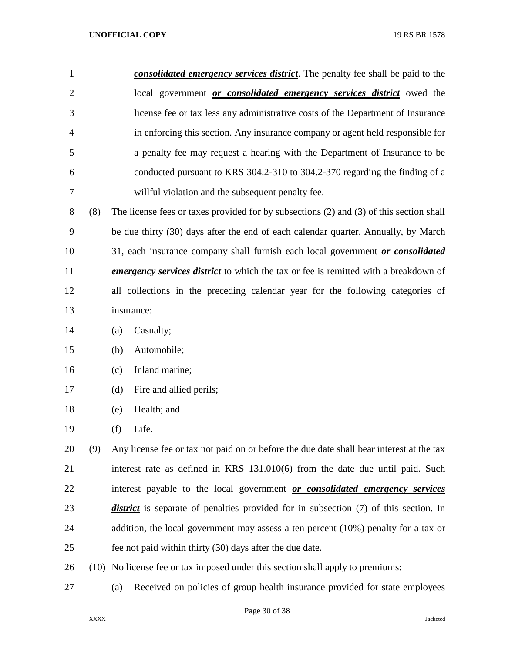| $\mathbf{1}$   |     | consolidated emergency services district. The penalty fee shall be paid to the              |
|----------------|-----|---------------------------------------------------------------------------------------------|
| $\overline{2}$ |     | local government <i>or consolidated emergency services district</i> owed the                |
| 3              |     | license fee or tax less any administrative costs of the Department of Insurance             |
| 4              |     | in enforcing this section. Any insurance company or agent held responsible for              |
| 5              |     | a penalty fee may request a hearing with the Department of Insurance to be                  |
| 6              |     | conducted pursuant to KRS 304.2-310 to 304.2-370 regarding the finding of a                 |
| 7              |     | willful violation and the subsequent penalty fee.                                           |
| 8              | (8) | The license fees or taxes provided for by subsections (2) and (3) of this section shall     |
| 9              |     | be due thirty (30) days after the end of each calendar quarter. Annually, by March          |
| 10             |     | 31, each insurance company shall furnish each local government or consolidated              |
| 11             |     | <i>emergency services district</i> to which the tax or fee is remitted with a breakdown of  |
| 12             |     | all collections in the preceding calendar year for the following categories of              |
| 13             |     | insurance:                                                                                  |
| 14             |     | Casualty;<br>(a)                                                                            |
| 15             |     | Automobile;<br>(b)                                                                          |
| 16             |     | Inland marine;<br>(c)                                                                       |
| 17             |     | (d)<br>Fire and allied perils;                                                              |
| 18             |     | Health; and<br>(e)                                                                          |
| 19             |     | $(f)$ Life.                                                                                 |
| 20             | (9) | Any license fee or tax not paid on or before the due date shall bear interest at the tax    |
| 21             |     | interest rate as defined in KRS $131.010(6)$ from the date due until paid. Such             |
| 22             |     | interest payable to the local government or consolidated emergency services                 |
| 23             |     | <i>district</i> is separate of penalties provided for in subsection (7) of this section. In |

24 addition, the local government may assess a ten percent (10%) penalty for a tax or fee not paid within thirty (30) days after the due date.

(10) No license fee or tax imposed under this section shall apply to premiums:

(a) Received on policies of group health insurance provided for state employees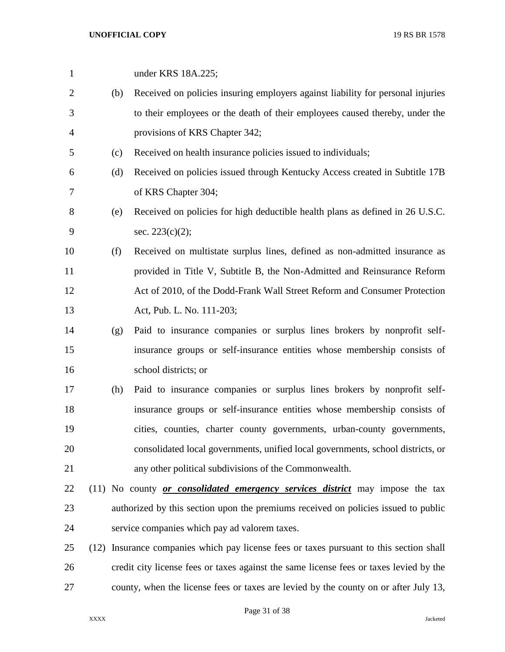| $\mathbf{1}$   |      | under KRS 18A.225;                                                                     |
|----------------|------|----------------------------------------------------------------------------------------|
| $\overline{2}$ | (b)  | Received on policies insuring employers against liability for personal injuries        |
| 3              |      | to their employees or the death of their employees caused thereby, under the           |
| $\overline{4}$ |      | provisions of KRS Chapter 342;                                                         |
| 5              | (c)  | Received on health insurance policies issued to individuals;                           |
| 6              | (d)  | Received on policies issued through Kentucky Access created in Subtitle 17B            |
| 7              |      | of KRS Chapter 304;                                                                    |
| 8              | (e)  | Received on policies for high deductible health plans as defined in 26 U.S.C.          |
| 9              |      | sec. 223(c)(2);                                                                        |
| 10             | (f)  | Received on multistate surplus lines, defined as non-admitted insurance as             |
| 11             |      | provided in Title V, Subtitle B, the Non-Admitted and Reinsurance Reform               |
| 12             |      | Act of 2010, of the Dodd-Frank Wall Street Reform and Consumer Protection              |
| 13             |      | Act, Pub. L. No. 111-203;                                                              |
| 14             | (g)  | Paid to insurance companies or surplus lines brokers by nonprofit self-                |
| 15             |      | insurance groups or self-insurance entities whose membership consists of               |
| 16             |      | school districts; or                                                                   |
| 17             | (h)  | Paid to insurance companies or surplus lines brokers by nonprofit self-                |
| 18             |      | insurance groups or self-insurance entities whose membership consists of               |
| 19             |      | cities, counties, charter county governments, urban-county governments,                |
| 20             |      | consolidated local governments, unified local governments, school districts, or        |
| 21             |      | any other political subdivisions of the Commonwealth.                                  |
| 22             |      | (11) No county <i>or consolidated emergency services district</i> may impose the tax   |
| 23             |      | authorized by this section upon the premiums received on policies issued to public     |
| 24             |      | service companies which pay ad valorem taxes.                                          |
| 25             | (12) | Insurance companies which pay license fees or taxes pursuant to this section shall     |
| 26             |      | credit city license fees or taxes against the same license fees or taxes levied by the |
| 27             |      | county, when the license fees or taxes are levied by the county on or after July 13,   |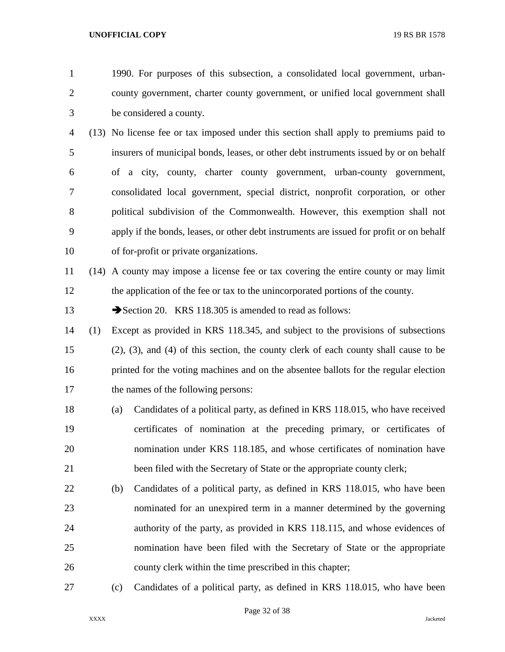1990. For purposes of this subsection, a consolidated local government, urban- county government, charter county government, or unified local government shall be considered a county.

 (13) No license fee or tax imposed under this section shall apply to premiums paid to insurers of municipal bonds, leases, or other debt instruments issued by or on behalf of a city, county, charter county government, urban-county government, consolidated local government, special district, nonprofit corporation, or other political subdivision of the Commonwealth. However, this exemption shall not apply if the bonds, leases, or other debt instruments are issued for profit or on behalf of for-profit or private organizations.

 (14) A county may impose a license fee or tax covering the entire county or may limit the application of the fee or tax to the unincorporated portions of the county.

13 Section 20. KRS 118.305 is amended to read as follows:

- (1) Except as provided in KRS 118.345, and subject to the provisions of subsections (2), (3), and (4) of this section, the county clerk of each county shall cause to be printed for the voting machines and on the absentee ballots for the regular election the names of the following persons:
- (a) Candidates of a political party, as defined in KRS 118.015, who have received certificates of nomination at the preceding primary, or certificates of nomination under KRS 118.185, and whose certificates of nomination have been filed with the Secretary of State or the appropriate county clerk;
- (b) Candidates of a political party, as defined in KRS 118.015, who have been nominated for an unexpired term in a manner determined by the governing authority of the party, as provided in KRS 118.115, and whose evidences of nomination have been filed with the Secretary of State or the appropriate county clerk within the time prescribed in this chapter;
- (c) Candidates of a political party, as defined in KRS 118.015, who have been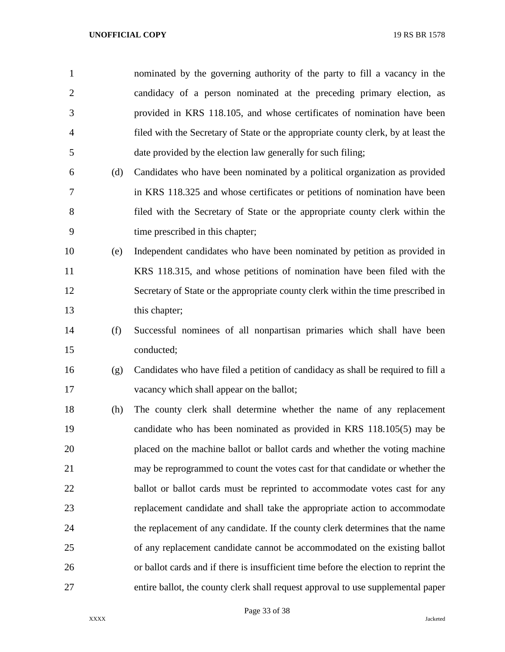| $\mathbf{1}$   |     | nominated by the governing authority of the party to fill a vacancy in the           |
|----------------|-----|--------------------------------------------------------------------------------------|
| $\overline{2}$ |     | candidacy of a person nominated at the preceding primary election, as                |
| 3              |     | provided in KRS 118.105, and whose certificates of nomination have been              |
| 4              |     | filed with the Secretary of State or the appropriate county clerk, by at least the   |
| 5              |     | date provided by the election law generally for such filing;                         |
| 6              | (d) | Candidates who have been nominated by a political organization as provided           |
| 7              |     | in KRS 118.325 and whose certificates or petitions of nomination have been           |
| $8\,$          |     | filed with the Secretary of State or the appropriate county clerk within the         |
| 9              |     | time prescribed in this chapter;                                                     |
| 10             | (e) | Independent candidates who have been nominated by petition as provided in            |
| 11             |     | KRS 118.315, and whose petitions of nomination have been filed with the              |
| 12             |     | Secretary of State or the appropriate county clerk within the time prescribed in     |
| 13             |     | this chapter;                                                                        |
| 14             | (f) | Successful nominees of all nonpartisan primaries which shall have been               |
| 15             |     | conducted;                                                                           |
| 16             | (g) | Candidates who have filed a petition of candidacy as shall be required to fill a     |
| 17             |     | vacancy which shall appear on the ballot;                                            |
| 18             | (h) | The county clerk shall determine whether the name of any replacement                 |
| 19             |     | candidate who has been nominated as provided in KRS 118.105(5) may be                |
| 20             |     | placed on the machine ballot or ballot cards and whether the voting machine          |
| 21             |     | may be reprogrammed to count the votes cast for that candidate or whether the        |
| 22             |     | ballot or ballot cards must be reprinted to accommodate votes cast for any           |
| 23             |     | replacement candidate and shall take the appropriate action to accommodate           |
| 24             |     | the replacement of any candidate. If the county clerk determines that the name       |
| 25             |     | of any replacement candidate cannot be accommodated on the existing ballot           |
| 26             |     | or ballot cards and if there is insufficient time before the election to reprint the |
| 27             |     | entire ballot, the county clerk shall request approval to use supplemental paper     |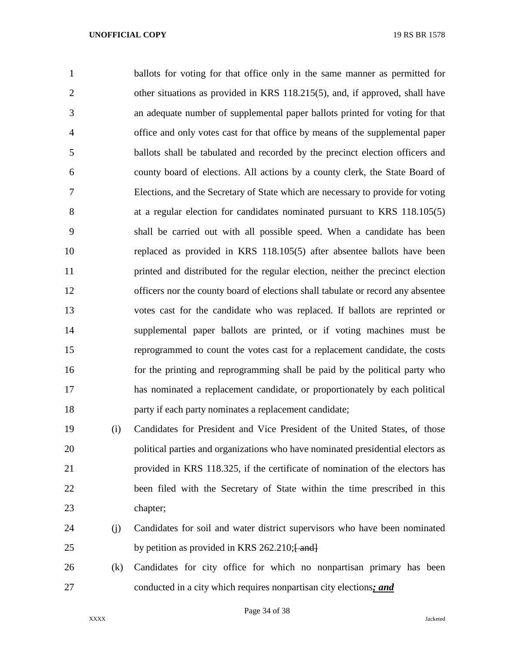ballots for voting for that office only in the same manner as permitted for other situations as provided in KRS 118.215(5), and, if approved, shall have an adequate number of supplemental paper ballots printed for voting for that office and only votes cast for that office by means of the supplemental paper ballots shall be tabulated and recorded by the precinct election officers and county board of elections. All actions by a county clerk, the State Board of Elections, and the Secretary of State which are necessary to provide for voting at a regular election for candidates nominated pursuant to KRS 118.105(5) shall be carried out with all possible speed. When a candidate has been replaced as provided in KRS 118.105(5) after absentee ballots have been printed and distributed for the regular election, neither the precinct election officers nor the county board of elections shall tabulate or record any absentee votes cast for the candidate who was replaced. If ballots are reprinted or supplemental paper ballots are printed, or if voting machines must be reprogrammed to count the votes cast for a replacement candidate, the costs for the printing and reprogramming shall be paid by the political party who has nominated a replacement candidate, or proportionately by each political party if each party nominates a replacement candidate;

 (i) Candidates for President and Vice President of the United States, of those political parties and organizations who have nominated presidential electors as provided in KRS 118.325, if the certificate of nomination of the electors has been filed with the Secretary of State within the time prescribed in this chapter;

- (j) Candidates for soil and water district supervisors who have been nominated 25 by petition as provided in KRS 262.210; $\frac{25}{25}$
- (k) Candidates for city office for which no nonpartisan primary has been conducted in a city which requires nonpartisan city elections*; and*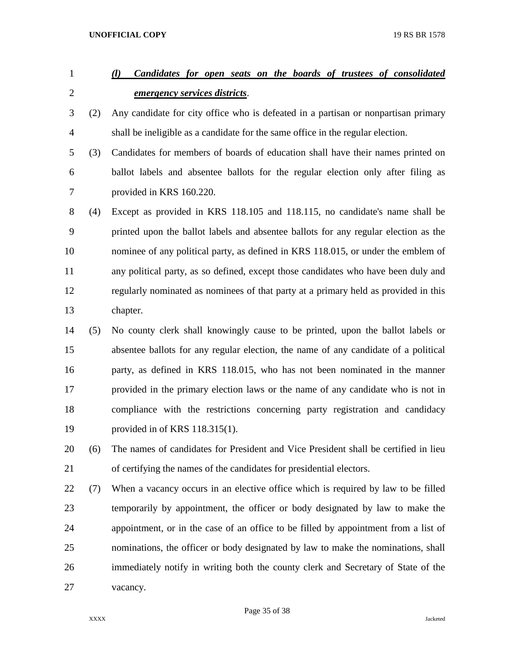# *(l) Candidates for open seats on the boards of trustees of consolidated emergency services districts*.

- (2) Any candidate for city office who is defeated in a partisan or nonpartisan primary shall be ineligible as a candidate for the same office in the regular election.
- (3) Candidates for members of boards of education shall have their names printed on ballot labels and absentee ballots for the regular election only after filing as provided in KRS 160.220.

 (4) Except as provided in KRS 118.105 and 118.115, no candidate's name shall be printed upon the ballot labels and absentee ballots for any regular election as the nominee of any political party, as defined in KRS 118.015, or under the emblem of any political party, as so defined, except those candidates who have been duly and regularly nominated as nominees of that party at a primary held as provided in this chapter.

- (5) No county clerk shall knowingly cause to be printed, upon the ballot labels or absentee ballots for any regular election, the name of any candidate of a political party, as defined in KRS 118.015, who has not been nominated in the manner provided in the primary election laws or the name of any candidate who is not in compliance with the restrictions concerning party registration and candidacy provided in of KRS 118.315(1).
- (6) The names of candidates for President and Vice President shall be certified in lieu of certifying the names of the candidates for presidential electors.
- (7) When a vacancy occurs in an elective office which is required by law to be filled temporarily by appointment, the officer or body designated by law to make the appointment, or in the case of an office to be filled by appointment from a list of nominations, the officer or body designated by law to make the nominations, shall immediately notify in writing both the county clerk and Secretary of State of the vacancy.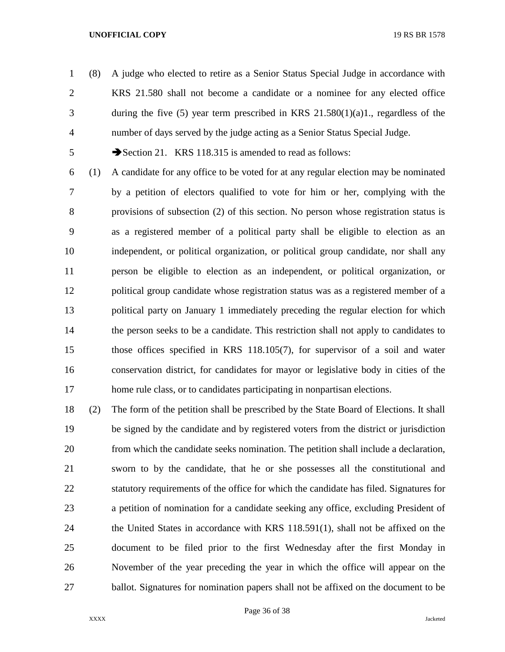(8) A judge who elected to retire as a Senior Status Special Judge in accordance with KRS 21.580 shall not become a candidate or a nominee for any elected office during the five (5) year term prescribed in KRS 21.580(1)(a)1., regardless of the number of days served by the judge acting as a Senior Status Special Judge.

5 Section 21. KRS 118.315 is amended to read as follows:

- (1) A candidate for any office to be voted for at any regular election may be nominated by a petition of electors qualified to vote for him or her, complying with the provisions of subsection (2) of this section. No person whose registration status is as a registered member of a political party shall be eligible to election as an independent, or political organization, or political group candidate, nor shall any person be eligible to election as an independent, or political organization, or political group candidate whose registration status was as a registered member of a political party on January 1 immediately preceding the regular election for which 14 the person seeks to be a candidate. This restriction shall not apply to candidates to those offices specified in KRS 118.105(7), for supervisor of a soil and water conservation district, for candidates for mayor or legislative body in cities of the home rule class, or to candidates participating in nonpartisan elections.
- (2) The form of the petition shall be prescribed by the State Board of Elections. It shall be signed by the candidate and by registered voters from the district or jurisdiction from which the candidate seeks nomination. The petition shall include a declaration, sworn to by the candidate, that he or she possesses all the constitutional and statutory requirements of the office for which the candidate has filed. Signatures for a petition of nomination for a candidate seeking any office, excluding President of the United States in accordance with KRS 118.591(1), shall not be affixed on the document to be filed prior to the first Wednesday after the first Monday in November of the year preceding the year in which the office will appear on the ballot. Signatures for nomination papers shall not be affixed on the document to be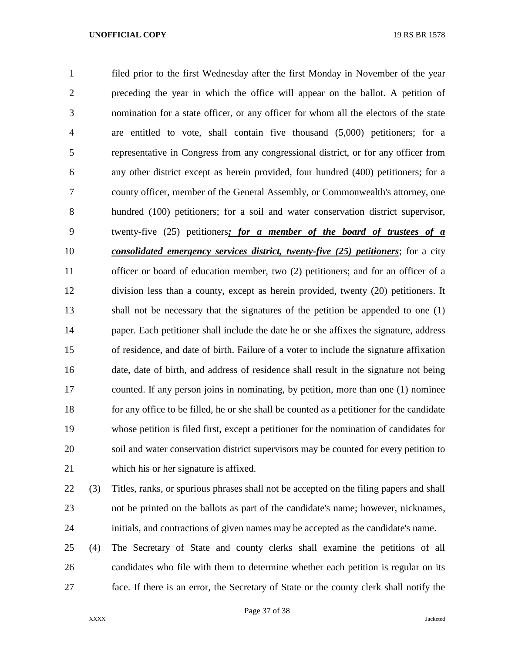filed prior to the first Wednesday after the first Monday in November of the year preceding the year in which the office will appear on the ballot. A petition of nomination for a state officer, or any officer for whom all the electors of the state are entitled to vote, shall contain five thousand (5,000) petitioners; for a representative in Congress from any congressional district, or for any officer from any other district except as herein provided, four hundred (400) petitioners; for a county officer, member of the General Assembly, or Commonwealth's attorney, one hundred (100) petitioners; for a soil and water conservation district supervisor, twenty-five (25) petitioners*; for a member of the board of trustees of a consolidated emergency services district, twenty-five (25) petitioners*; for a city officer or board of education member, two (2) petitioners; and for an officer of a division less than a county, except as herein provided, twenty (20) petitioners. It shall not be necessary that the signatures of the petition be appended to one (1) paper. Each petitioner shall include the date he or she affixes the signature, address of residence, and date of birth. Failure of a voter to include the signature affixation date, date of birth, and address of residence shall result in the signature not being counted. If any person joins in nominating, by petition, more than one (1) nominee for any office to be filled, he or she shall be counted as a petitioner for the candidate whose petition is filed first, except a petitioner for the nomination of candidates for soil and water conservation district supervisors may be counted for every petition to which his or her signature is affixed.

(3) Titles, ranks, or spurious phrases shall not be accepted on the filing papers and shall

 not be printed on the ballots as part of the candidate's name; however, nicknames, initials, and contractions of given names may be accepted as the candidate's name.

 (4) The Secretary of State and county clerks shall examine the petitions of all candidates who file with them to determine whether each petition is regular on its face. If there is an error, the Secretary of State or the county clerk shall notify the